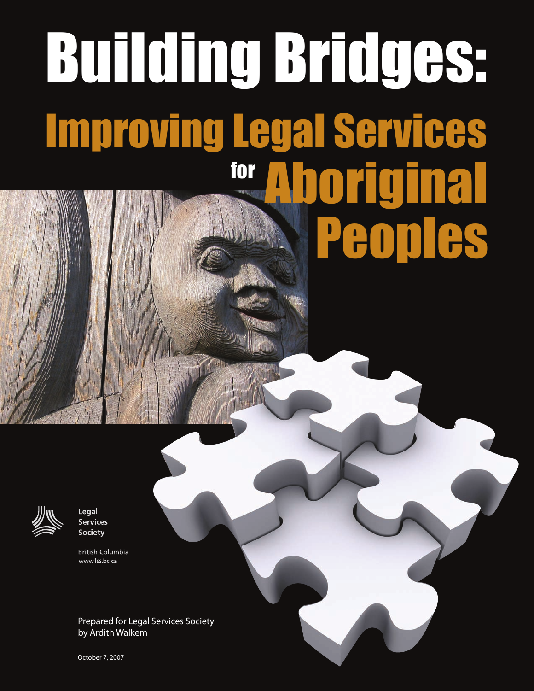# Aboriginal Peoples Improving Legal Services for Building Bridges:



Legal **Services Society** 

> **British Columbia** www.lss.bc.ca

Prepared for Legal Services Society by Ardith Walkem

October 7, 2007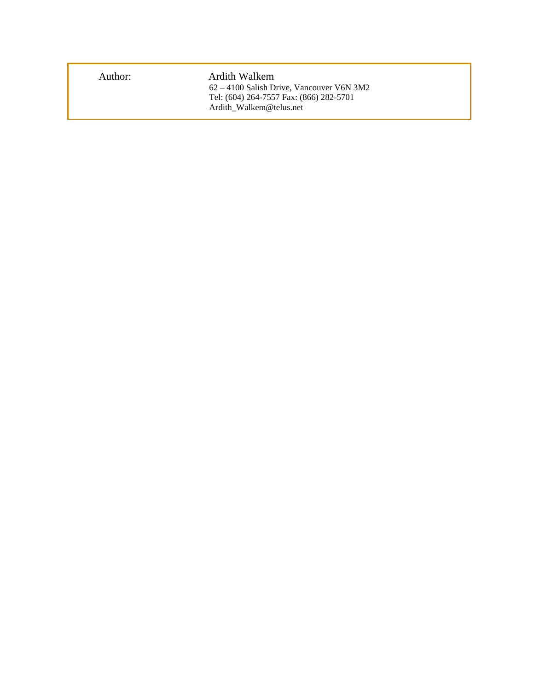| Author: | Ardith Walkem<br>$62 - 4100$ Salish Drive, Vancouver V6N 3M2<br>Tel: (604) 264-7557 Fax: (866) 282-5701<br>Ardith Walkem@telus.net |
|---------|------------------------------------------------------------------------------------------------------------------------------------|
|---------|------------------------------------------------------------------------------------------------------------------------------------|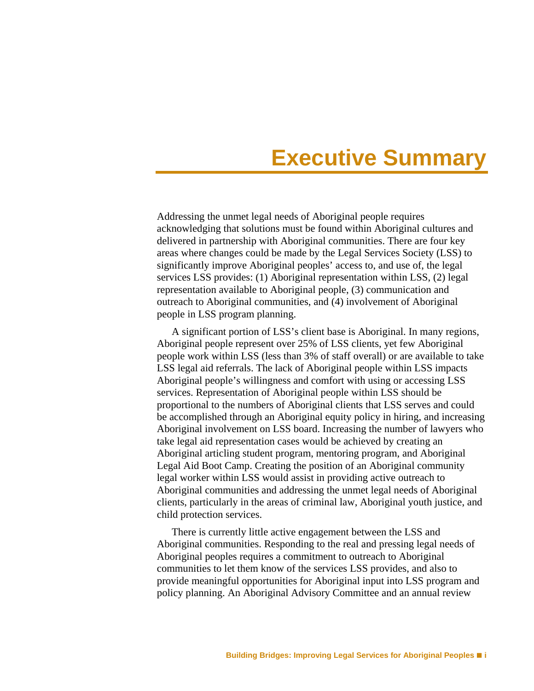# **Executive Summary**

<span id="page-2-0"></span>Addressing the unmet legal needs of Aboriginal people requires acknowledging that solutions must be found within Aboriginal cultures and delivered in partnership with Aboriginal communities. There are four key areas where changes could be made by the Legal Services Society (LSS) to significantly improve Aboriginal peoples' access to, and use of, the legal services LSS provides: (1) Aboriginal representation within LSS, (2) legal representation available to Aboriginal people, (3) communication and outreach to Aboriginal communities, and (4) involvement of Aboriginal people in LSS program planning.

A significant portion of LSS's client base is Aboriginal. In many regions, Aboriginal people represent over 25% of LSS clients, yet few Aboriginal people work within LSS (less than 3% of staff overall) or are available to take LSS legal aid referrals. The lack of Aboriginal people within LSS impacts Aboriginal people's willingness and comfort with using or accessing LSS services. Representation of Aboriginal people within LSS should be proportional to the numbers of Aboriginal clients that LSS serves and could be accomplished through an Aboriginal equity policy in hiring, and increasing Aboriginal involvement on LSS board. Increasing the number of lawyers who take legal aid representation cases would be achieved by creating an Aboriginal articling student program, mentoring program, and Aboriginal Legal Aid Boot Camp. Creating the position of an Aboriginal community legal worker within LSS would assist in providing active outreach to Aboriginal communities and addressing the unmet legal needs of Aboriginal clients, particularly in the areas of criminal law, Aboriginal youth justice, and child protection services.

There is currently little active engagement between the LSS and Aboriginal communities. Responding to the real and pressing legal needs of Aboriginal peoples requires a commitment to outreach to Aboriginal communities to let them know of the services LSS provides, and also to provide meaningful opportunities for Aboriginal input into LSS program and policy planning. An Aboriginal Advisory Committee and an annual review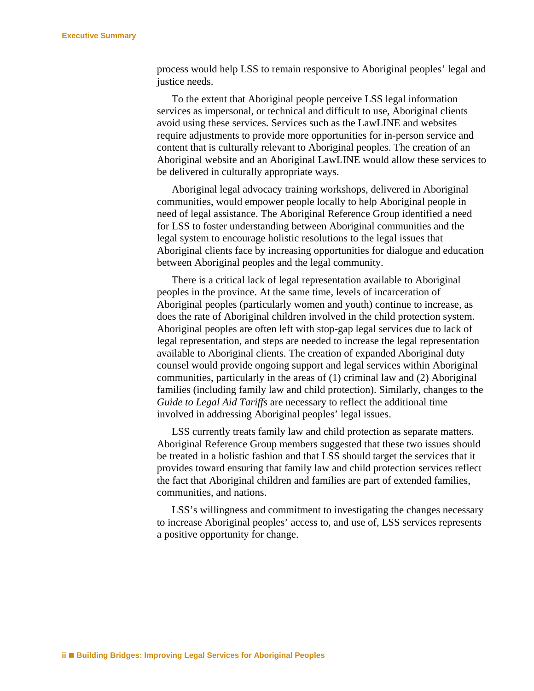process would help LSS to remain responsive to Aboriginal peoples' legal and justice needs.

To the extent that Aboriginal people perceive LSS legal information services as impersonal, or technical and difficult to use, Aboriginal clients avoid using these services. Services such as the LawLINE and websites require adjustments to provide more opportunities for in-person service and content that is culturally relevant to Aboriginal peoples. The creation of an Aboriginal website and an Aboriginal LawLINE would allow these services to be delivered in culturally appropriate ways.

Aboriginal legal advocacy training workshops, delivered in Aboriginal communities, would empower people locally to help Aboriginal people in need of legal assistance. The Aboriginal Reference Group identified a need for LSS to foster understanding between Aboriginal communities and the legal system to encourage holistic resolutions to the legal issues that Aboriginal clients face by increasing opportunities for dialogue and education between Aboriginal peoples and the legal community.

There is a critical lack of legal representation available to Aboriginal peoples in the province. At the same time, levels of incarceration of Aboriginal peoples (particularly women and youth) continue to increase, as does the rate of Aboriginal children involved in the child protection system. Aboriginal peoples are often left with stop-gap legal services due to lack of legal representation, and steps are needed to increase the legal representation available to Aboriginal clients. The creation of expanded Aboriginal duty counsel would provide ongoing support and legal services within Aboriginal communities, particularly in the areas of (1) criminal law and (2) Aboriginal families (including family law and child protection). Similarly, changes to the *Guide to Legal Aid Tariffs* are necessary to reflect the additional time involved in addressing Aboriginal peoples' legal issues.

LSS currently treats family law and child protection as separate matters. Aboriginal Reference Group members suggested that these two issues should be treated in a holistic fashion and that LSS should target the services that it provides toward ensuring that family law and child protection services reflect the fact that Aboriginal children and families are part of extended families, communities, and nations.

LSS's willingness and commitment to investigating the changes necessary to increase Aboriginal peoples' access to, and use of, LSS services represents a positive opportunity for change.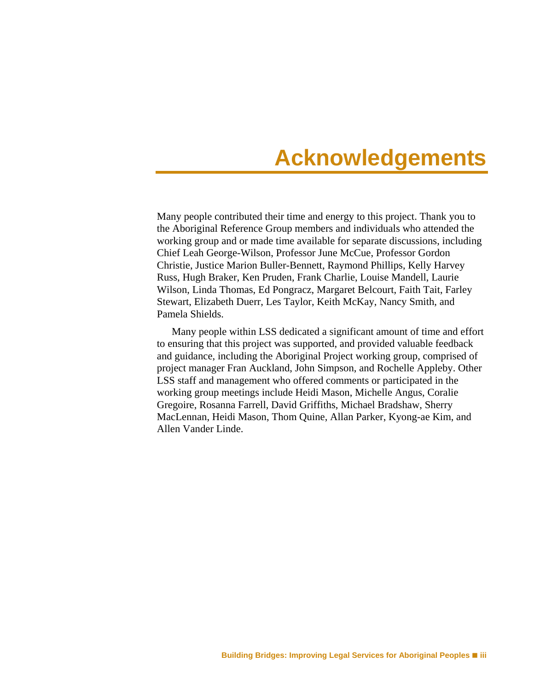# **Acknowledgements**

<span id="page-4-0"></span>Many people contributed their time and energy to this project. Thank you to the Aboriginal Reference Group members and individuals who attended the working group and or made time available for separate discussions, including Chief Leah George-Wilson, Professor June McCue, Professor Gordon Christie, Justice Marion Buller-Bennett, Raymond Phillips, Kelly Harvey Russ, Hugh Braker, Ken Pruden, Frank Charlie, Louise Mandell, Laurie Wilson, Linda Thomas, Ed Pongracz, Margaret Belcourt, Faith Tait, Farley Stewart, Elizabeth Duerr, Les Taylor, Keith McKay, Nancy Smith, and Pamela Shields.

Many people within LSS dedicated a significant amount of time and effort to ensuring that this project was supported, and provided valuable feedback and guidance, including the Aboriginal Project working group, comprised of project manager Fran Auckland, John Simpson, and Rochelle Appleby. Other LSS staff and management who offered comments or participated in the working group meetings include Heidi Mason, Michelle Angus, Coralie Gregoire, Rosanna Farrell, David Griffiths, Michael Bradshaw, Sherry MacLennan, Heidi Mason, Thom Quine, Allan Parker, Kyong-ae Kim, and Allen Vander Linde.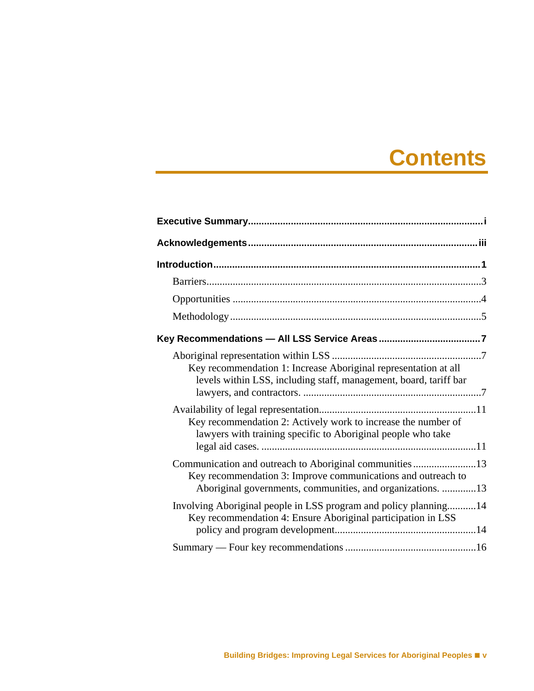# **Contents**

| Key recommendation 1: Increase Aboriginal representation at all<br>levels within LSS, including staff, management, board, tariff bar                                                  |
|---------------------------------------------------------------------------------------------------------------------------------------------------------------------------------------|
| Key recommendation 2: Actively work to increase the number of<br>lawyers with training specific to Aboriginal people who take                                                         |
| Communication and outreach to Aboriginal communities 13<br>Key recommendation 3: Improve communications and outreach to<br>Aboriginal governments, communities, and organizations. 13 |
| Involving Aboriginal people in LSS program and policy planning14<br>Key recommendation 4: Ensure Aboriginal participation in LSS                                                      |
|                                                                                                                                                                                       |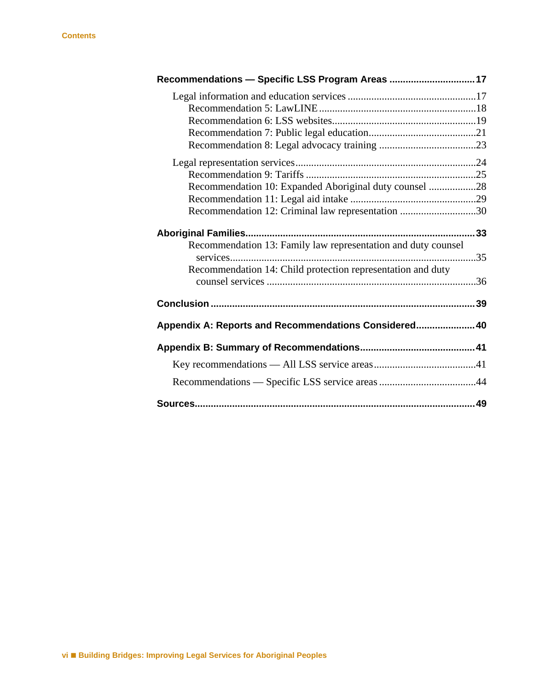| Recommendations - Specific LSS Program Areas  17              |     |
|---------------------------------------------------------------|-----|
|                                                               |     |
|                                                               |     |
|                                                               |     |
|                                                               |     |
|                                                               |     |
|                                                               |     |
|                                                               |     |
| Recommendation 10: Expanded Aboriginal duty counsel 28        |     |
|                                                               |     |
| Recommendation 12: Criminal law representation 30             |     |
|                                                               |     |
| Recommendation 13: Family law representation and duty counsel | .35 |
| Recommendation 14: Child protection representation and duty   |     |
|                                                               |     |
|                                                               |     |
| Appendix A: Reports and Recommendations Considered 40         |     |
|                                                               |     |
|                                                               |     |
|                                                               |     |
|                                                               |     |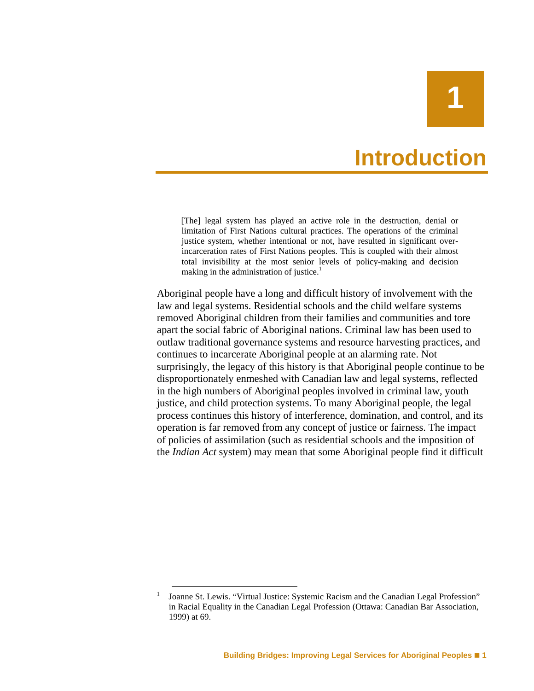# **1**

# **Introduction**

<span id="page-7-0"></span>[The] legal system has played an active role in the destruction, denial or limitation of First Nations cultural practices. The operations of the criminal justice system, whether intentional or not, have resulted in significant overincarceration rates of First Nations peoples. This is coupled with their almost total invisibility at the most senior levels of policy-making and decision making in the administration of justice. $<sup>1</sup>$ </sup>

Aboriginal people have a long and difficult history of involvement with the law and legal systems. Residential schools and the child welfare systems removed Aboriginal children from their families and communities and tore apart the social fabric of Aboriginal nations. Criminal law has been used to outlaw traditional governance systems and resource harvesting practices, and continues to incarcerate Aboriginal people at an alarming rate. Not surprisingly, the legacy of this history is that Aboriginal people continue to be disproportionately enmeshed with Canadian law and legal systems, reflected in the high numbers of Aboriginal peoples involved in criminal law, youth justice, and child protection systems. To many Aboriginal people, the legal process continues this history of interference, domination, and control, and its operation is far removed from any concept of justice or fairness. The impact of policies of assimilation (such as residential schools and the imposition of the *Indian Act* system) may mean that some Aboriginal people find it difficult

 <sup>1</sup> Joanne St. Lewis. "Virtual Justice: Systemic Racism and the Canadian Legal Profession" in Racial Equality in the Canadian Legal Profession (Ottawa: Canadian Bar Association, 1999) at 69.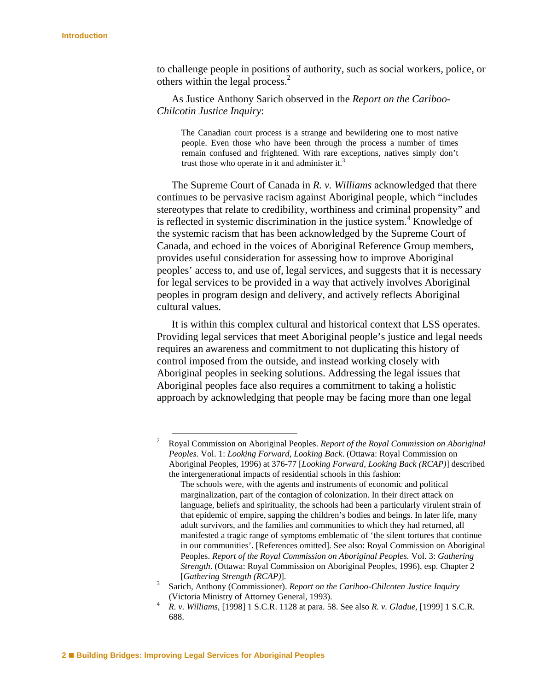to challenge people in positions of authority, such as social workers, police, or others within the legal process.<sup>2</sup>

As Justice Anthony Sarich observed in the *Report on the Cariboo-Chilcotin Justice Inquiry*:

The Canadian court process is a strange and bewildering one to most native people. Even those who have been through the process a number of times remain confused and frightened. With rare exceptions, natives simply don't trust those who operate in it and administer it. $3$ 

The Supreme Court of Canada in *R. v. Williams* acknowledged that there continues to be pervasive racism against Aboriginal people, which "includes stereotypes that relate to credibility, worthiness and criminal propensity" and is reflected in systemic discrimination in the justice system.<sup>4</sup> Knowledge of the systemic racism that has been acknowledged by the Supreme Court of Canada, and echoed in the voices of Aboriginal Reference Group members, provides useful consideration for assessing how to improve Aboriginal peoples' access to, and use of, legal services, and suggests that it is necessary for legal services to be provided in a way that actively involves Aboriginal peoples in program design and delivery, and actively reflects Aboriginal cultural values.

It is within this complex cultural and historical context that LSS operates. Providing legal services that meet Aboriginal people's justice and legal needs requires an awareness and commitment to not duplicating this history of control imposed from the outside, and instead working closely with Aboriginal peoples in seeking solutions. Addressing the legal issues that Aboriginal peoples face also requires a commitment to taking a holistic approach by acknowledging that people may be facing more than one legal

 <sup>2</sup> Royal Commission on Aboriginal Peoples. *Report of the Royal Commission on Aboriginal Peoples.* Vol. 1: *Looking Forward, Looking Back*. (Ottawa: Royal Commission on Aboriginal Peoples, 1996) at 376-77 [*Looking Forward, Looking Back (RCAP)*] described the intergenerational impacts of residential schools in this fashion:

The schools were, with the agents and instruments of economic and political marginalization, part of the contagion of colonization. In their direct attack on language, beliefs and spirituality, the schools had been a particularly virulent strain of that epidemic of empire, sapping the children's bodies and beings. In later life, many adult survivors, and the families and communities to which they had returned, all manifested a tragic range of symptoms emblematic of 'the silent tortures that continue in our communities'. [References omitted]. See also: Royal Commission on Aboriginal Peoples. *Report of the Royal Commission on Aboriginal Peoples.* Vol. 3: *Gathering Strength*. (Ottawa: Royal Commission on Aboriginal Peoples, 1996), esp. Chapter 2 [*Gathering Strength (RCAP*)].

Sarich, Anthony (Commissioner). *Report on the Cariboo-Chilcoten Justice Inquiry* (Victoria Ministry of Attorney General, 1993). 4 *R. v. Williams*, [1998] 1 S.C.R. 1128 at para. 58. See also *R. v. Gladue*, [1999] 1 S.C.R.

<sup>688.</sup>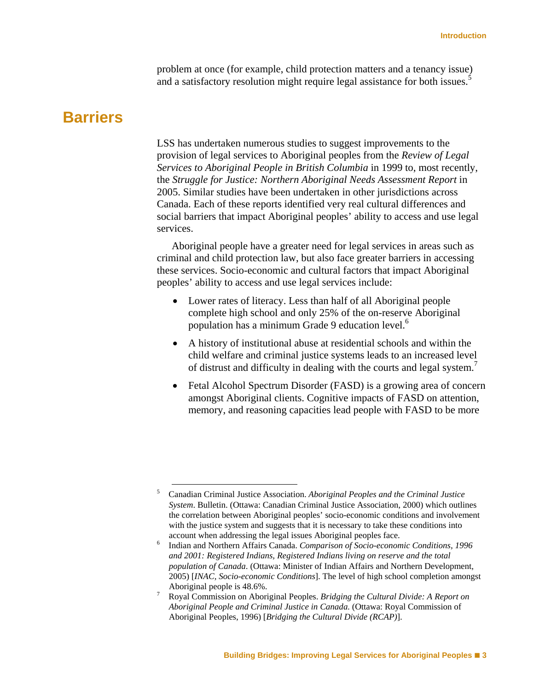problem at once (for example, child protection matters and a tenancy issue) and a satisfactory resolution might require legal assistance for both issues.<sup>5</sup>

### <span id="page-9-0"></span>**Barriers**

LSS has undertaken numerous studies to suggest improvements to the provision of legal services to Aboriginal peoples from the *Review of Legal Services to Aboriginal People in British Columbia* in 1999 to, most recently, the *Struggle for Justice: Northern Aboriginal Needs Assessment Report* in 2005. Similar studies have been undertaken in other jurisdictions across Canada. Each of these reports identified very real cultural differences and social barriers that impact Aboriginal peoples' ability to access and use legal services.

Aboriginal people have a greater need for legal services in areas such as criminal and child protection law, but also face greater barriers in accessing these services. Socio-economic and cultural factors that impact Aboriginal peoples' ability to access and use legal services include:

- Lower rates of literacy. Less than half of all Aboriginal people complete high school and only 25% of the on-reserve Aboriginal population has a minimum Grade 9 education level.<sup>6</sup>
- A history of institutional abuse at residential schools and within the child welfare and criminal justice systems leads to an increased level of distrust and difficulty in dealing with the courts and legal system.<sup>7</sup>
- Fetal Alcohol Spectrum Disorder (FASD) is a growing area of concern amongst Aboriginal clients. Cognitive impacts of FASD on attention, memory, and reasoning capacities lead people with FASD to be more

 <sup>5</sup> Canadian Criminal Justice Association. *Aboriginal Peoples and the Criminal Justice System*. Bulletin. (Ottawa: Canadian Criminal Justice Association, 2000) which outlines the correlation between Aboriginal peoples' socio-economic conditions and involvement with the justice system and suggests that it is necessary to take these conditions into account when addressing the legal issues Aboriginal peoples face.<br><sup>6</sup> Indian and Northern Affairs Canada Comparison of Socio connu

Indian and Northern Affairs Canada. *Comparison of Socio-economic Conditions, 1996 and 2001: Registered Indians, Registered Indians living on reserve and the total population of Canada*. (Ottawa: Minister of Indian Affairs and Northern Development, 2005) [*INAC, Socio-economic Conditions*]. The level of high school completion amongst Aboriginal people is  $48.6\%$ .

Royal Commission on Aboriginal Peoples. *Bridging the Cultural Divide: A Report on Aboriginal People and Criminal Justice in Canada.* (Ottawa: Royal Commission of Aboriginal Peoples, 1996) [*Bridging the Cultural Divide (RCAP)*].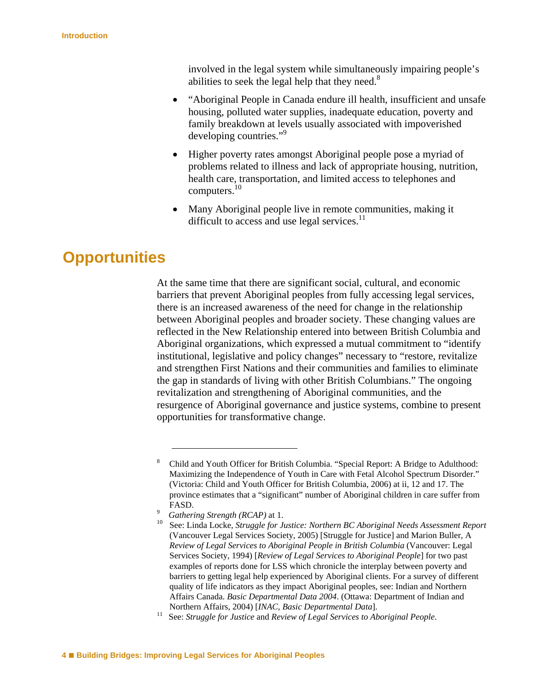involved in the legal system while simultaneously impairing people's abilities to seek the legal help that they need. $8$ 

- <span id="page-10-0"></span>• "Aboriginal People in Canada endure ill health, insufficient and unsafe housing, polluted water supplies, inadequate education, poverty and family breakdown at levels usually associated with impoverished developing countries."<sup>9</sup>
- Higher poverty rates amongst Aboriginal people pose a myriad of problems related to illness and lack of appropriate housing, nutrition, health care, transportation, and limited access to telephones and computers.<sup>10</sup>
- Many Aboriginal people live in remote communities, making it difficult to access and use legal services. $^{11}$

### **Opportunities**

At the same time that there are significant social, cultural, and economic barriers that prevent Aboriginal peoples from fully accessing legal services, there is an increased awareness of the need for change in the relationship between Aboriginal peoples and broader society. These changing values are reflected in the New Relationship entered into between British Columbia and Aboriginal organizations, which expressed a mutual commitment to "identify institutional, legislative and policy changes" necessary to "restore, revitalize and strengthen First Nations and their communities and families to eliminate the gap in standards of living with other British Columbians." The ongoing revitalization and strengthening of Aboriginal communities, and the resurgence of Aboriginal governance and justice systems, combine to present opportunities for transformative change.

 $\overline{a}$ 

<sup>8</sup> Child and Youth Officer for British Columbia. "Special Report: A Bridge to Adulthood: Maximizing the Independence of Youth in Care with Fetal Alcohol Spectrum Disorder." (Victoria: Child and Youth Officer for British Columbia, 2006) at ii, 12 and 17. The province estimates that a "significant" number of Aboriginal children in care suffer from FASD.

<sup>&</sup>lt;sup>9</sup> *Gathering Strength (RCAP)* at 1.<br><sup>10</sup> See: Linda Locke, *Struggle for Justice: Northern BC Aboriginal Needs Assessment Report* (Vancouver Legal Services Society, 2005) [Struggle for Justice] and Marion Buller, A *Review of Legal Services to Aboriginal People in British Columbia* (Vancouver: Legal Services Society, 1994) [*Review of Legal Services to Aboriginal People*] for two past examples of reports done for LSS which chronicle the interplay between poverty and barriers to getting legal help experienced by Aboriginal clients. For a survey of different quality of life indicators as they impact Aboriginal peoples, see: Indian and Northern Affairs Canada. *Basic Departmental Data 2004*. (Ottawa: Department of Indian and Northern Affairs, 2004) [*INAC, Basic Departmental Data*].

<sup>11</sup> See: *Struggle for Justice* and *Review of Legal Services to Aboriginal People*.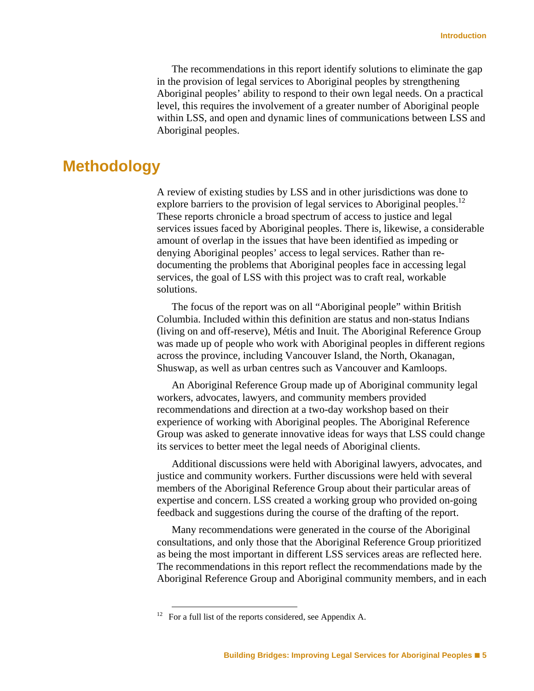<span id="page-11-0"></span>The recommendations in this report identify solutions to eliminate the gap in the provision of legal services to Aboriginal peoples by strengthening Aboriginal peoples' ability to respond to their own legal needs. On a practical level, this requires the involvement of a greater number of Aboriginal people within LSS, and open and dynamic lines of communications between LSS and Aboriginal peoples.

### **Methodology**

A review of existing studies by LSS and in other jurisdictions was done to explore barriers to the provision of legal services to Aboriginal peoples.<sup>12</sup> These reports chronicle a broad spectrum of access to justice and legal services issues faced by Aboriginal peoples. There is, likewise, a considerable amount of overlap in the issues that have been identified as impeding or denying Aboriginal peoples' access to legal services. Rather than redocumenting the problems that Aboriginal peoples face in accessing legal services, the goal of LSS with this project was to craft real, workable solutions.

The focus of the report was on all "Aboriginal people" within British Columbia. Included within this definition are status and non-status Indians (living on and off-reserve), Métis and Inuit. The Aboriginal Reference Group was made up of people who work with Aboriginal peoples in different regions across the province, including Vancouver Island, the North, Okanagan, Shuswap, as well as urban centres such as Vancouver and Kamloops.

An Aboriginal Reference Group made up of Aboriginal community legal workers, advocates, lawyers, and community members provided recommendations and direction at a two-day workshop based on their experience of working with Aboriginal peoples. The Aboriginal Reference Group was asked to generate innovative ideas for ways that LSS could change its services to better meet the legal needs of Aboriginal clients.

Additional discussions were held with Aboriginal lawyers, advocates, and justice and community workers. Further discussions were held with several members of the Aboriginal Reference Group about their particular areas of expertise and concern. LSS created a working group who provided on-going feedback and suggestions during the course of the drafting of the report.

Many recommendations were generated in the course of the Aboriginal consultations, and only those that the Aboriginal Reference Group prioritized as being the most important in different LSS services areas are reflected here. The recommendations in this report reflect the recommendations made by the Aboriginal Reference Group and Aboriginal community members, and in each

 $12$  For a full list of the reports considered, see Appendix A.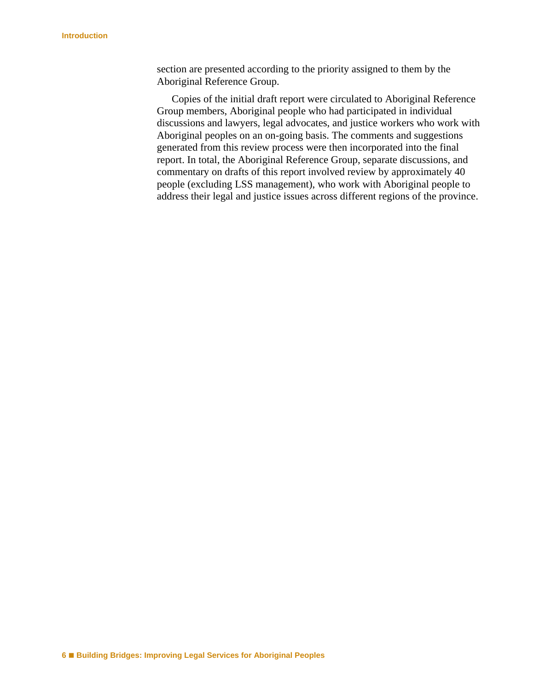section are presented according to the priority assigned to them by the Aboriginal Reference Group.

Copies of the initial draft report were circulated to Aboriginal Reference Group members, Aboriginal people who had participated in individual discussions and lawyers, legal advocates, and justice workers who work with Aboriginal peoples on an on-going basis. The comments and suggestions generated from this review process were then incorporated into the final report. In total, the Aboriginal Reference Group, separate discussions, and commentary on drafts of this report involved review by approximately 40 people (excluding LSS management), who work with Aboriginal people to address their legal and justice issues across different regions of the province.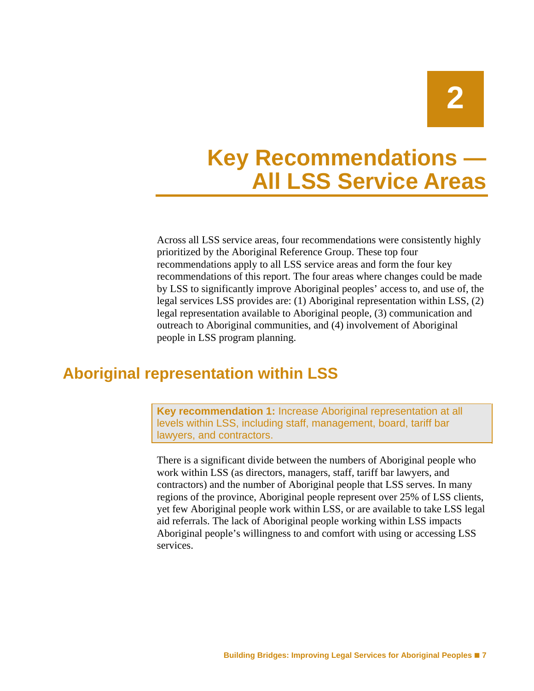**2** 

# <span id="page-13-0"></span>**Key Recommendations — All LSS Service Areas**

Across all LSS service areas, four recommendations were consistently highly prioritized by the Aboriginal Reference Group. These top four recommendations apply to all LSS service areas and form the four key recommendations of this report. The four areas where changes could be made by LSS to significantly improve Aboriginal peoples' access to, and use of, the legal services LSS provides are: (1) Aboriginal representation within LSS, (2) legal representation available to Aboriginal people, (3) communication and outreach to Aboriginal communities, and (4) involvement of Aboriginal people in LSS program planning.

### **Aboriginal representation within LSS**

**Key recommendation 1:** Increase Aboriginal representation at all levels within LSS, including staff, management, board, tariff bar lawyers, and contractors.

There is a significant divide between the numbers of Aboriginal people who work within LSS (as directors, managers, staff, tariff bar lawyers, and contractors) and the number of Aboriginal people that LSS serves. In many regions of the province, Aboriginal people represent over 25% of LSS clients, yet few Aboriginal people work within LSS, or are available to take LSS legal aid referrals. The lack of Aboriginal people working within LSS impacts Aboriginal people's willingness to and comfort with using or accessing LSS services.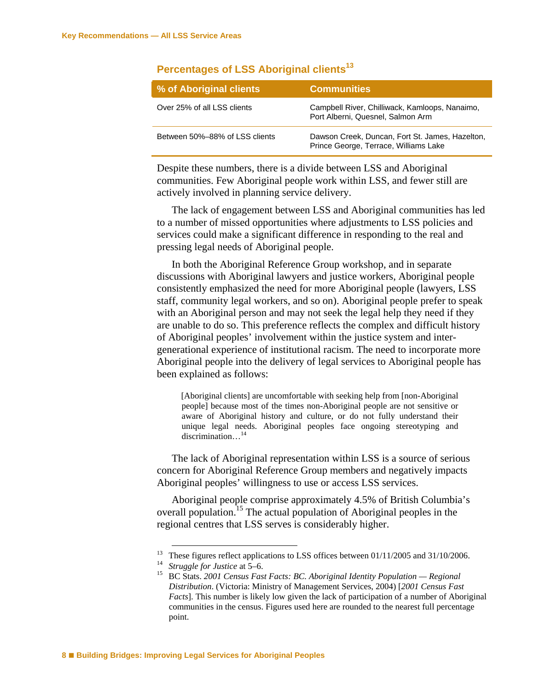| ∣ % of Aboriginal clients      | <b>Communities</b>                                                                       |  |
|--------------------------------|------------------------------------------------------------------------------------------|--|
| Over 25% of all LSS clients    | Campbell River, Chilliwack, Kamloops, Nanaimo,<br>Port Alberni, Quesnel, Salmon Arm      |  |
| Between 50%-88% of LSS clients | Dawson Creek, Duncan, Fort St. James, Hazelton,<br>Prince George, Terrace, Williams Lake |  |

#### **Percentages of LSS Aboriginal clients<sup>13</sup>**

Despite these numbers, there is a divide between LSS and Aboriginal communities. Few Aboriginal people work within LSS, and fewer still are actively involved in planning service delivery.

The lack of engagement between LSS and Aboriginal communities has led to a number of missed opportunities where adjustments to LSS policies and services could make a significant difference in responding to the real and pressing legal needs of Aboriginal people.

In both the Aboriginal Reference Group workshop, and in separate discussions with Aboriginal lawyers and justice workers, Aboriginal people consistently emphasized the need for more Aboriginal people (lawyers, LSS staff, community legal workers, and so on). Aboriginal people prefer to speak with an Aboriginal person and may not seek the legal help they need if they are unable to do so. This preference reflects the complex and difficult history of Aboriginal peoples' involvement within the justice system and intergenerational experience of institutional racism. The need to incorporate more Aboriginal people into the delivery of legal services to Aboriginal people has been explained as follows:

[Aboriginal clients] are uncomfortable with seeking help from [non-Aboriginal people] because most of the times non-Aboriginal people are not sensitive or aware of Aboriginal history and culture, or do not fully understand their unique legal needs. Aboriginal peoples face ongoing stereotyping and discrimination…14

The lack of Aboriginal representation within LSS is a source of serious concern for Aboriginal Reference Group members and negatively impacts Aboriginal peoples' willingness to use or access LSS services.

Aboriginal people comprise approximately 4.5% of British Columbia's overall population.15 The actual population of Aboriginal peoples in the regional centres that LSS serves is considerably higher.

<sup>&</sup>lt;sup>13</sup> These figures reflect applications to LSS offices between 01/11/2005 and 31/10/2006.<br><sup>14</sup> Struggle for Justice at 5–6.

<sup>&</sup>lt;sup>15</sup> BC Stats. 2001 Census Fast Facts: BC. Aboriginal Identity Population — Regional *Distribution*. (Victoria: Ministry of Management Services, 2004) [*2001 Census Fast Facts*]. This number is likely low given the lack of participation of a number of Aboriginal communities in the census. Figures used here are rounded to the nearest full percentage point.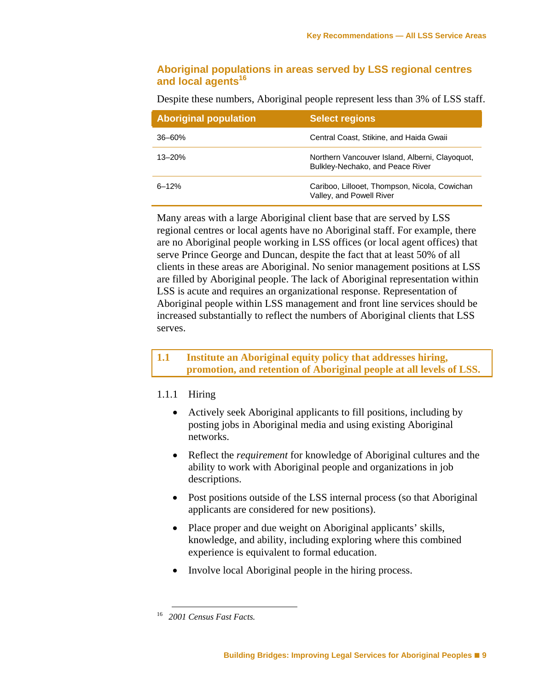#### **Aboriginal populations in areas served by LSS regional centres**  and local agents<sup>16</sup>

Despite these numbers, Aboriginal people represent less than 3% of LSS staff.

| <b>Aboriginal population</b> | <b>Select regions</b>                                                              |
|------------------------------|------------------------------------------------------------------------------------|
| $36 - 60%$                   | Central Coast, Stikine, and Haida Gwaii                                            |
| $13 - 20%$                   | Northern Vancouver Island, Alberni, Clayoquot,<br>Bulkley-Nechako, and Peace River |
| $6 - 12%$                    | Cariboo, Lillooet, Thompson, Nicola, Cowichan<br>Valley, and Powell River          |

Many areas with a large Aboriginal client base that are served by LSS regional centres or local agents have no Aboriginal staff. For example, there are no Aboriginal people working in LSS offices (or local agent offices) that serve Prince George and Duncan, despite the fact that at least 50% of all clients in these areas are Aboriginal. No senior management positions at LSS are filled by Aboriginal people. The lack of Aboriginal representation within LSS is acute and requires an organizational response. Representation of Aboriginal people within LSS management and front line services should be increased substantially to reflect the numbers of Aboriginal clients that LSS serves.

#### **1.1 Institute an Aboriginal equity policy that addresses hiring, promotion, and retention of Aboriginal people at all levels of LSS.**

#### 1.1.1 Hiring

- Actively seek Aboriginal applicants to fill positions, including by posting jobs in Aboriginal media and using existing Aboriginal networks.
- Reflect the *requirement* for knowledge of Aboriginal cultures and the ability to work with Aboriginal people and organizations in job descriptions.
- Post positions outside of the LSS internal process (so that Aboriginal applicants are considered for new positions).
- Place proper and due weight on Aboriginal applicants' skills, knowledge, and ability, including exploring where this combined experience is equivalent to formal education.
- Involve local Aboriginal people in the hiring process.

 <sup>16</sup> *2001 Census Fast Facts.*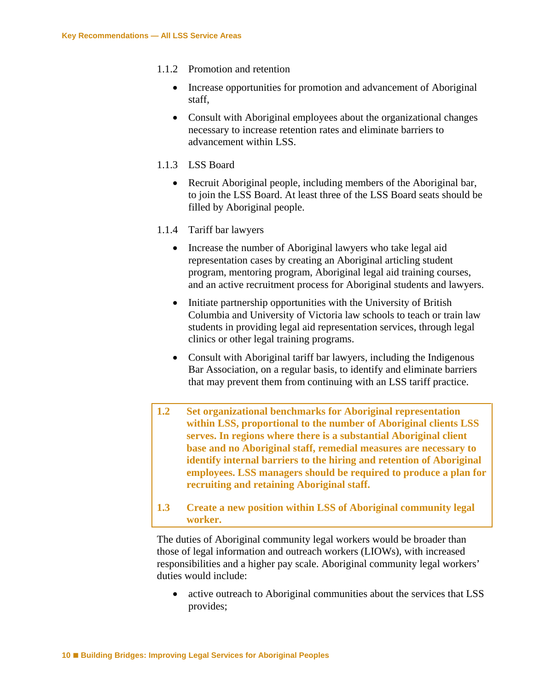- 1.1.2 Promotion and retention
	- Increase opportunities for promotion and advancement of Aboriginal staff,
	- Consult with Aboriginal employees about the organizational changes necessary to increase retention rates and eliminate barriers to advancement within LSS.
- 1.1.3 LSS Board
	- Recruit Aboriginal people, including members of the Aboriginal bar, to join the LSS Board. At least three of the LSS Board seats should be filled by Aboriginal people.
- 1.1.4 Tariff bar lawyers
	- Increase the number of Aboriginal lawyers who take legal aid representation cases by creating an Aboriginal articling student program, mentoring program, Aboriginal legal aid training courses, and an active recruitment process for Aboriginal students and lawyers.
	- Initiate partnership opportunities with the University of British Columbia and University of Victoria law schools to teach or train law students in providing legal aid representation services, through legal clinics or other legal training programs.
	- Consult with Aboriginal tariff bar lawyers, including the Indigenous Bar Association, on a regular basis, to identify and eliminate barriers that may prevent them from continuing with an LSS tariff practice.
- **1.2 Set organizational benchmarks for Aboriginal representation within LSS, proportional to the number of Aboriginal clients LSS serves. In regions where there is a substantial Aboriginal client base and no Aboriginal staff, remedial measures are necessary to identify internal barriers to the hiring and retention of Aboriginal employees. LSS managers should be required to produce a plan for recruiting and retaining Aboriginal staff.**
- **1.3 Create a new position within LSS of Aboriginal community legal worker.**

The duties of Aboriginal community legal workers would be broader than those of legal information and outreach workers (LIOWs), with increased responsibilities and a higher pay scale. Aboriginal community legal workers' duties would include:

• active outreach to Aboriginal communities about the services that LSS provides;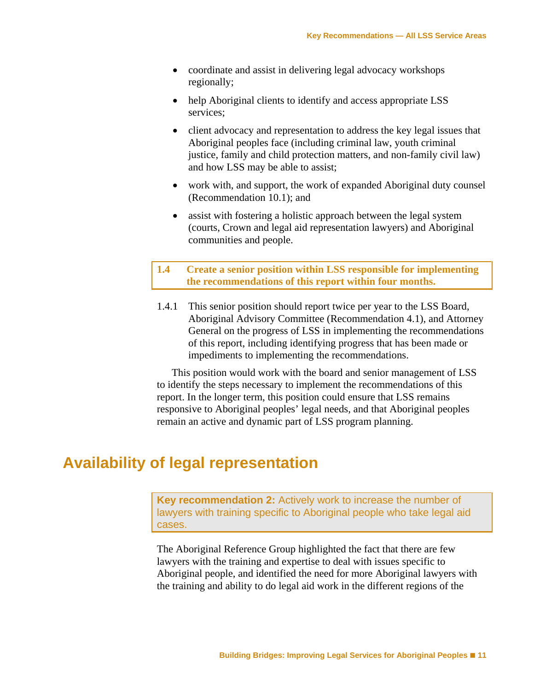- <span id="page-17-0"></span>• coordinate and assist in delivering legal advocacy workshops regionally;
- help Aboriginal clients to identify and access appropriate LSS services;
- client advocacy and representation to address the key legal issues that Aboriginal peoples face (including criminal law, youth criminal justice, family and child protection matters, and non-family civil law) and how LSS may be able to assist;
- work with, and support, the work of expanded Aboriginal duty counsel (Recommendation 10.1); and
- assist with fostering a holistic approach between the legal system (courts, Crown and legal aid representation lawyers) and Aboriginal communities and people.
- **1.4 Create a senior position within LSS responsible for implementing the recommendations of this report within four months.**
- 1.4.1 This senior position should report twice per year to the LSS Board, Aboriginal Advisory Committee (Recommendation 4.1), and Attorney General on the progress of LSS in implementing the recommendations of this report, including identifying progress that has been made or impediments to implementing the recommendations.

This position would work with the board and senior management of LSS to identify the steps necessary to implement the recommendations of this report. In the longer term, this position could ensure that LSS remains responsive to Aboriginal peoples' legal needs, and that Aboriginal peoples remain an active and dynamic part of LSS program planning.

### **Availability of legal representation**

**Key recommendation 2:** Actively work to increase the number of lawyers with training specific to Aboriginal people who take legal aid cases.

The Aboriginal Reference Group highlighted the fact that there are few lawyers with the training and expertise to deal with issues specific to Aboriginal people, and identified the need for more Aboriginal lawyers with the training and ability to do legal aid work in the different regions of the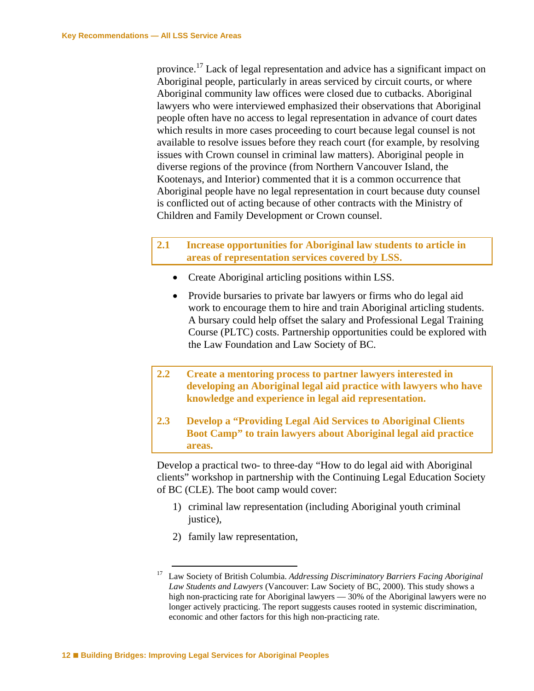province.17 Lack of legal representation and advice has a significant impact on Aboriginal people, particularly in areas serviced by circuit courts, or where Aboriginal community law offices were closed due to cutbacks. Aboriginal lawyers who were interviewed emphasized their observations that Aboriginal people often have no access to legal representation in advance of court dates which results in more cases proceeding to court because legal counsel is not available to resolve issues before they reach court (for example, by resolving issues with Crown counsel in criminal law matters). Aboriginal people in diverse regions of the province (from Northern Vancouver Island, the Kootenays, and Interior) commented that it is a common occurrence that Aboriginal people have no legal representation in court because duty counsel is conflicted out of acting because of other contracts with the Ministry of Children and Family Development or Crown counsel.

#### **2.1 Increase opportunities for Aboriginal law students to article in areas of representation services covered by LSS.**

- Create Aboriginal articling positions within LSS.
- Provide bursaries to private bar lawyers or firms who do legal aid work to encourage them to hire and train Aboriginal articling students. A bursary could help offset the salary and Professional Legal Training Course (PLTC) costs. Partnership opportunities could be explored with the Law Foundation and Law Society of BC.
- **2.2 Create a mentoring process to partner lawyers interested in developing an Aboriginal legal aid practice with lawyers who have knowledge and experience in legal aid representation.**
- **2.3 Develop a "Providing Legal Aid Services to Aboriginal Clients Boot Camp" to train lawyers about Aboriginal legal aid practice areas.**

Develop a practical two- to three-day "How to do legal aid with Aboriginal clients" workshop in partnership with the Continuing Legal Education Society of BC (CLE). The boot camp would cover:

- 1) criminal law representation (including Aboriginal youth criminal justice),
- 2) family law representation,

 <sup>17</sup> Law Society of British Columbia. *Addressing Discriminatory Barriers Facing Aboriginal Law Students and Lawyers* (Vancouver: Law Society of BC, 2000). This study shows a high non-practicing rate for Aboriginal lawyers — 30% of the Aboriginal lawyers were no longer actively practicing. The report suggests causes rooted in systemic discrimination, economic and other factors for this high non-practicing rate.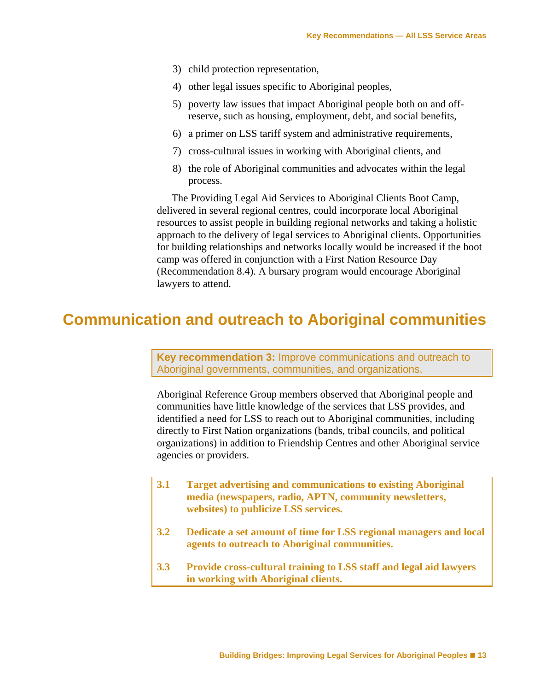- <span id="page-19-0"></span>3) child protection representation,
- 4) other legal issues specific to Aboriginal peoples,
- 5) poverty law issues that impact Aboriginal people both on and offreserve, such as housing, employment, debt, and social benefits,
- 6) a primer on LSS tariff system and administrative requirements,
- 7) cross-cultural issues in working with Aboriginal clients, and
- 8) the role of Aboriginal communities and advocates within the legal process.

The Providing Legal Aid Services to Aboriginal Clients Boot Camp, delivered in several regional centres, could incorporate local Aboriginal resources to assist people in building regional networks and taking a holistic approach to the delivery of legal services to Aboriginal clients. Opportunities for building relationships and networks locally would be increased if the boot camp was offered in conjunction with a First Nation Resource Day (Recommendation 8.4). A bursary program would encourage Aboriginal lawyers to attend.

### **Communication and outreach to Aboriginal communities**

**Key recommendation 3:** Improve communications and outreach to Aboriginal governments, communities, and organizations.

Aboriginal Reference Group members observed that Aboriginal people and communities have little knowledge of the services that LSS provides, and identified a need for LSS to reach out to Aboriginal communities, including directly to First Nation organizations (bands, tribal councils, and political organizations) in addition to Friendship Centres and other Aboriginal service agencies or providers.

- **3.1 Target advertising and communications to existing Aboriginal media (newspapers, radio, APTN, community newsletters, websites) to publicize LSS services.**
- **3.2 Dedicate a set amount of time for LSS regional managers and local agents to outreach to Aboriginal communities.**
- **3.3 Provide cross-cultural training to LSS staff and legal aid lawyers in working with Aboriginal clients.**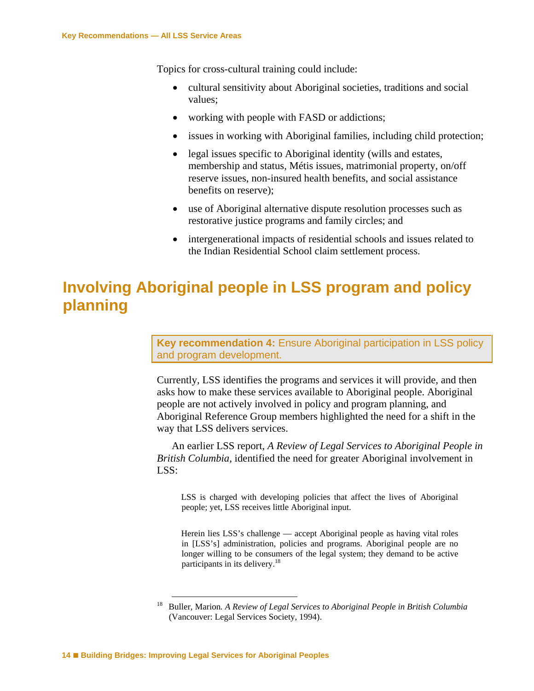<span id="page-20-0"></span>Topics for cross-cultural training could include:

- cultural sensitivity about Aboriginal societies, traditions and social values;
- working with people with FASD or addictions;
- issues in working with Aboriginal families, including child protection;
- legal issues specific to Aboriginal identity (wills and estates, membership and status, Métis issues, matrimonial property, on/off reserve issues, non-insured health benefits, and social assistance benefits on reserve);
- use of Aboriginal alternative dispute resolution processes such as restorative justice programs and family circles; and
- intergenerational impacts of residential schools and issues related to the Indian Residential School claim settlement process.

### **Involving Aboriginal people in LSS program and policy planning**

**Key recommendation 4:** Ensure Aboriginal participation in LSS policy and program development.

Currently, LSS identifies the programs and services it will provide, and then asks how to make these services available to Aboriginal people. Aboriginal people are not actively involved in policy and program planning, and Aboriginal Reference Group members highlighted the need for a shift in the way that LSS delivers services.

An earlier LSS report, *A Review of Legal Services to Aboriginal People in British Columbia*, identified the need for greater Aboriginal involvement in LSS:

LSS is charged with developing policies that affect the lives of Aboriginal people; yet, LSS receives little Aboriginal input.

Herein lies LSS's challenge — accept Aboriginal people as having vital roles in [LSS's] administration, policies and programs. Aboriginal people are no longer willing to be consumers of the legal system; they demand to be active participants in its delivery.<sup>18</sup>

 <sup>18</sup> Buller, Marion*. A Review of Legal Services to Aboriginal People in British Columbia* (Vancouver: Legal Services Society, 1994).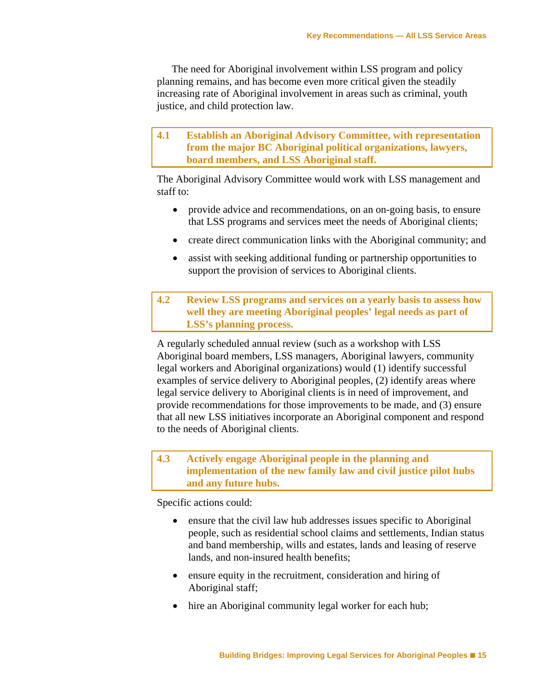The need for Aboriginal involvement within LSS program and policy planning remains, and has become even more critical given the steadily increasing rate of Aboriginal involvement in areas such as criminal, youth justice, and child protection law.

**4.1 Establish an Aboriginal Advisory Committee, with representation from the major BC Aboriginal political organizations, lawyers, board members, and LSS Aboriginal staff.** 

The Aboriginal Advisory Committee would work with LSS management and staff to:

- provide advice and recommendations, on an on-going basis, to ensure that LSS programs and services meet the needs of Aboriginal clients;
- create direct communication links with the Aboriginal community; and
- assist with seeking additional funding or partnership opportunities to support the provision of services to Aboriginal clients.
- **4.2 Review LSS programs and services on a yearly basis to assess how well they are meeting Aboriginal peoples' legal needs as part of LSS's planning process.**

A regularly scheduled annual review (such as a workshop with LSS Aboriginal board members, LSS managers, Aboriginal lawyers, community legal workers and Aboriginal organizations) would (1) identify successful examples of service delivery to Aboriginal peoples, (2) identify areas where legal service delivery to Aboriginal clients is in need of improvement, and provide recommendations for those improvements to be made, and (3) ensure that all new LSS initiatives incorporate an Aboriginal component and respond to the needs of Aboriginal clients.

#### **4.3 Actively engage Aboriginal people in the planning and implementation of the new family law and civil justice pilot hubs and any future hubs.**

Specific actions could:

- ensure that the civil law hub addresses issues specific to Aboriginal people, such as residential school claims and settlements, Indian status and band membership, wills and estates, lands and leasing of reserve lands, and non-insured health benefits;
- ensure equity in the recruitment, consideration and hiring of Aboriginal staff;
- hire an Aboriginal community legal worker for each hub;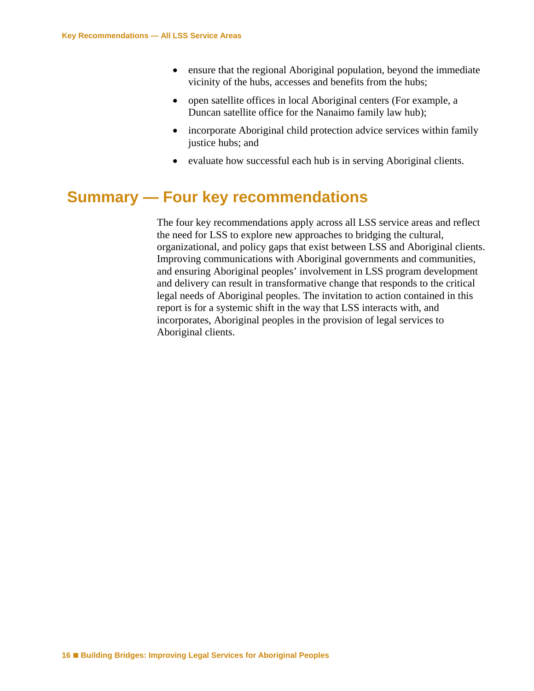- <span id="page-22-0"></span>• ensure that the regional Aboriginal population, beyond the immediate vicinity of the hubs, accesses and benefits from the hubs;
- open satellite offices in local Aboriginal centers (For example, a Duncan satellite office for the Nanaimo family law hub);
- incorporate Aboriginal child protection advice services within family justice hubs; and
- evaluate how successful each hub is in serving Aboriginal clients.

### **Summary — Four key recommendations**

The four key recommendations apply across all LSS service areas and reflect the need for LSS to explore new approaches to bridging the cultural, organizational, and policy gaps that exist between LSS and Aboriginal clients. Improving communications with Aboriginal governments and communities, and ensuring Aboriginal peoples' involvement in LSS program development and delivery can result in transformative change that responds to the critical legal needs of Aboriginal peoples. The invitation to action contained in this report is for a systemic shift in the way that LSS interacts with, and incorporates, Aboriginal peoples in the provision of legal services to Aboriginal clients.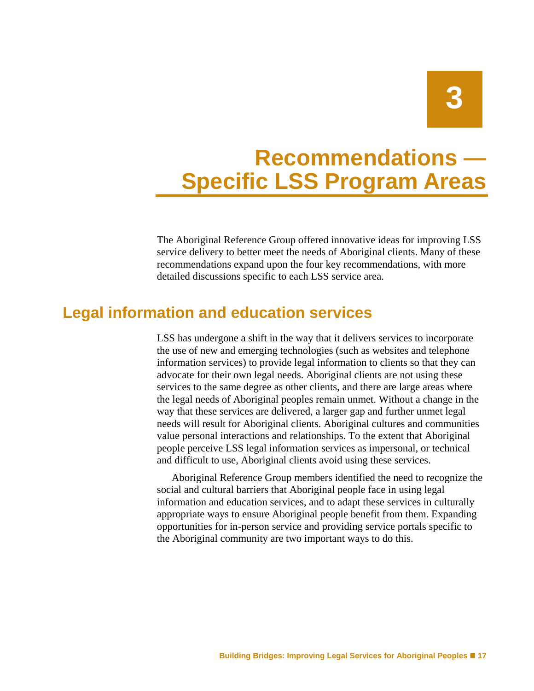**3**

# <span id="page-23-0"></span>**Recommendations — Specific LSS Program Areas**

The Aboriginal Reference Group offered innovative ideas for improving LSS service delivery to better meet the needs of Aboriginal clients. Many of these recommendations expand upon the four key recommendations, with more detailed discussions specific to each LSS service area.

### **Legal information and education services**

LSS has undergone a shift in the way that it delivers services to incorporate the use of new and emerging technologies (such as websites and telephone information services) to provide legal information to clients so that they can advocate for their own legal needs. Aboriginal clients are not using these services to the same degree as other clients, and there are large areas where the legal needs of Aboriginal peoples remain unmet. Without a change in the way that these services are delivered, a larger gap and further unmet legal needs will result for Aboriginal clients. Aboriginal cultures and communities value personal interactions and relationships. To the extent that Aboriginal people perceive LSS legal information services as impersonal, or technical and difficult to use, Aboriginal clients avoid using these services.

Aboriginal Reference Group members identified the need to recognize the social and cultural barriers that Aboriginal people face in using legal information and education services, and to adapt these services in culturally appropriate ways to ensure Aboriginal people benefit from them. Expanding opportunities for in-person service and providing service portals specific to the Aboriginal community are two important ways to do this.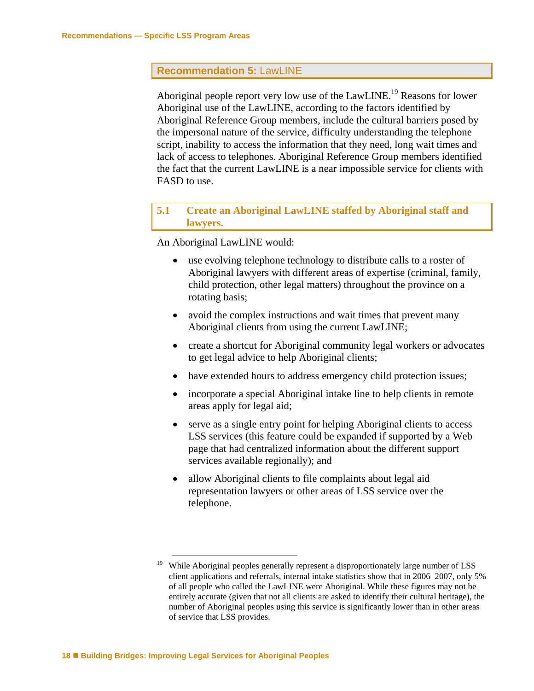#### <span id="page-24-0"></span>**Recommendation 5:** LawLINE

Aboriginal people report very low use of the LawLINE.<sup>19</sup> Reasons for lower Aboriginal use of the LawLINE, according to the factors identified by Aboriginal Reference Group members, include the cultural barriers posed by the impersonal nature of the service, difficulty understanding the telephone script, inability to access the information that they need, long wait times and lack of access to telephones. Aboriginal Reference Group members identified the fact that the current LawLINE is a near impossible service for clients with FASD to use.

#### **5.1 Create an Aboriginal LawLINE staffed by Aboriginal staff and lawyers.**

An Aboriginal LawLINE would:

- use evolving telephone technology to distribute calls to a roster of Aboriginal lawyers with different areas of expertise (criminal, family, child protection, other legal matters) throughout the province on a rotating basis;
- avoid the complex instructions and wait times that prevent many Aboriginal clients from using the current LawLINE;
- create a shortcut for Aboriginal community legal workers or advocates to get legal advice to help Aboriginal clients;
- have extended hours to address emergency child protection issues;
- incorporate a special Aboriginal intake line to help clients in remote areas apply for legal aid;
- serve as a single entry point for helping Aboriginal clients to access LSS services (this feature could be expanded if supported by a Web page that had centralized information about the different support services available regionally); and
- allow Aboriginal clients to file complaints about legal aid representation lawyers or other areas of LSS service over the telephone.

 <sup>19</sup> While Aboriginal peoples generally represent a disproportionately large number of LSS client applications and referrals, internal intake statistics show that in 2006–2007, only 5% of all people who called the LawLINE were Aboriginal. While these figures may not be entirely accurate (given that not all clients are asked to identify their cultural heritage), the number of Aboriginal peoples using this service is significantly lower than in other areas of service that LSS provides.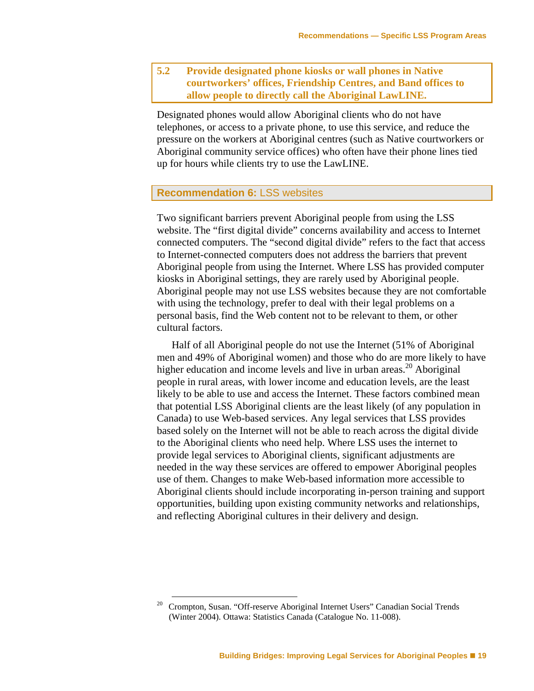#### <span id="page-25-0"></span>**5.2 Provide designated phone kiosks or wall phones in Native courtworkers' offices, Friendship Centres, and Band offices to allow people to directly call the Aboriginal LawLINE.**

Designated phones would allow Aboriginal clients who do not have telephones, or access to a private phone, to use this service, and reduce the pressure on the workers at Aboriginal centres (such as Native courtworkers or Aboriginal community service offices) who often have their phone lines tied up for hours while clients try to use the LawLINE.

#### **Recommendation 6:** LSS websites

Two significant barriers prevent Aboriginal people from using the LSS website. The "first digital divide" concerns availability and access to Internet connected computers. The "second digital divide" refers to the fact that access to Internet-connected computers does not address the barriers that prevent Aboriginal people from using the Internet. Where LSS has provided computer kiosks in Aboriginal settings, they are rarely used by Aboriginal people. Aboriginal people may not use LSS websites because they are not comfortable with using the technology, prefer to deal with their legal problems on a personal basis, find the Web content not to be relevant to them, or other cultural factors.

Half of all Aboriginal people do not use the Internet (51% of Aboriginal men and 49% of Aboriginal women) and those who do are more likely to have higher education and income levels and live in urban areas.<sup>20</sup> Aboriginal people in rural areas, with lower income and education levels, are the least likely to be able to use and access the Internet. These factors combined mean that potential LSS Aboriginal clients are the least likely (of any population in Canada) to use Web-based services. Any legal services that LSS provides based solely on the Internet will not be able to reach across the digital divide to the Aboriginal clients who need help. Where LSS uses the internet to provide legal services to Aboriginal clients, significant adjustments are needed in the way these services are offered to empower Aboriginal peoples use of them. Changes to make Web-based information more accessible to Aboriginal clients should include incorporating in-person training and support opportunities, building upon existing community networks and relationships, and reflecting Aboriginal cultures in their delivery and design.

<sup>&</sup>lt;sup>20</sup> Crompton, Susan. "Off-reserve Aboriginal Internet Users" Canadian Social Trends (Winter 2004). Ottawa: Statistics Canada (Catalogue No. 11-008).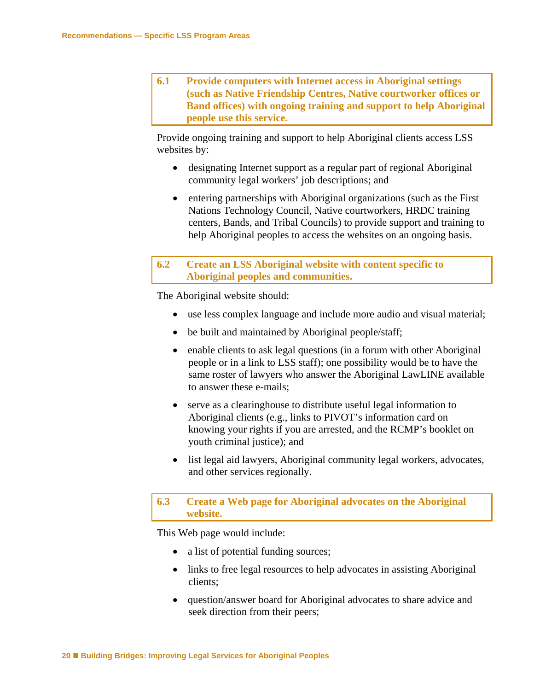**6.1 Provide computers with Internet access in Aboriginal settings (such as Native Friendship Centres, Native courtworker offices or Band offices) with ongoing training and support to help Aboriginal people use this service.** 

Provide ongoing training and support to help Aboriginal clients access LSS websites by:

- designating Internet support as a regular part of regional Aboriginal community legal workers' job descriptions; and
- entering partnerships with Aboriginal organizations (such as the First Nations Technology Council, Native courtworkers, HRDC training centers, Bands, and Tribal Councils) to provide support and training to help Aboriginal peoples to access the websites on an ongoing basis.

#### **6.2 Create an LSS Aboriginal website with content specific to Aboriginal peoples and communities.**

The Aboriginal website should:

- use less complex language and include more audio and visual material;
- be built and maintained by Aboriginal people/staff;
- enable clients to ask legal questions (in a forum with other Aboriginal people or in a link to LSS staff); one possibility would be to have the same roster of lawyers who answer the Aboriginal LawLINE available to answer these e-mails;
- serve as a clearinghouse to distribute useful legal information to Aboriginal clients (e.g., links to PIVOT's information card on knowing your rights if you are arrested, and the RCMP's booklet on youth criminal justice); and
- list legal aid lawyers, Aboriginal community legal workers, advocates, and other services regionally.

#### **6.3 Create a Web page for Aboriginal advocates on the Aboriginal website.**

This Web page would include:

- a list of potential funding sources;
- links to free legal resources to help advocates in assisting Aboriginal clients;
- question/answer board for Aboriginal advocates to share advice and seek direction from their peers;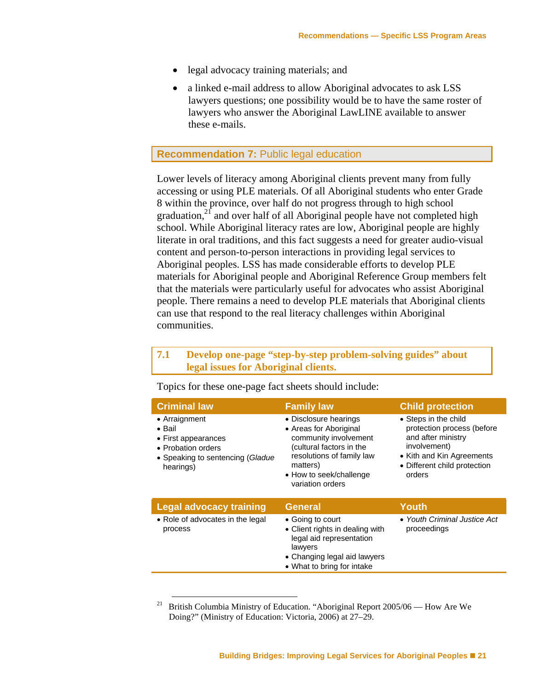- <span id="page-27-0"></span>legal advocacy training materials; and
- a linked e-mail address to allow Aboriginal advocates to ask LSS lawyers questions; one possibility would be to have the same roster of lawyers who answer the Aboriginal LawLINE available to answer these e-mails.

#### **Recommendation 7:** Public legal education

Lower levels of literacy among Aboriginal clients prevent many from fully accessing or using PLE materials. Of all Aboriginal students who enter Grade 8 within the province, over half do not progress through to high school graduation,<sup>21</sup> and over half of all Aboriginal people have not completed high school. While Aboriginal literacy rates are low, Aboriginal people are highly literate in oral traditions, and this fact suggests a need for greater audio-visual content and person-to-person interactions in providing legal services to Aboriginal peoples. LSS has made considerable efforts to develop PLE materials for Aboriginal people and Aboriginal Reference Group members felt that the materials were particularly useful for advocates who assist Aboriginal people. There remains a need to develop PLE materials that Aboriginal clients can use that respond to the real literacy challenges within Aboriginal communities.

#### **7.1 Develop one-page "step-by-step problem-solving guides" about legal issues for Aboriginal clients.**

| <b>Criminal law</b>                                                                                                           | <b>Family law</b>                                                                                                                                                                            | <b>Child protection</b>                                                                                                                                         |
|-------------------------------------------------------------------------------------------------------------------------------|----------------------------------------------------------------------------------------------------------------------------------------------------------------------------------------------|-----------------------------------------------------------------------------------------------------------------------------------------------------------------|
| • Arraignment<br>$\bullet$ Bail<br>• First appearances<br>• Probation orders<br>• Speaking to sentencing (Gladue<br>hearings) | • Disclosure hearings<br>• Areas for Aboriginal<br>community involvement<br>(cultural factors in the<br>resolutions of family law<br>matters)<br>• How to seek/challenge<br>variation orders | • Steps in the child<br>protection process (before<br>and after ministry<br>involvement)<br>• Kith and Kin Agreements<br>• Different child protection<br>orders |
| <b>Legal advocacy training</b>                                                                                                | <b>General</b>                                                                                                                                                                               | Youth                                                                                                                                                           |
| • Role of advocates in the legal<br>process                                                                                   | • Going to court<br>• Client rights in dealing with<br>legal aid representation<br>lawyers<br>• Changing legal aid lawyers<br>• What to bring for intake                                     | • Youth Criminal Justice Act<br>proceedings                                                                                                                     |

Topics for these one-page fact sheets should include:

<sup>&</sup>lt;sup>21</sup> British Columbia Ministry of Education. "Aboriginal Report  $2005/06$  — How Are We Doing?" (Ministry of Education: Victoria, 2006) at 27–29.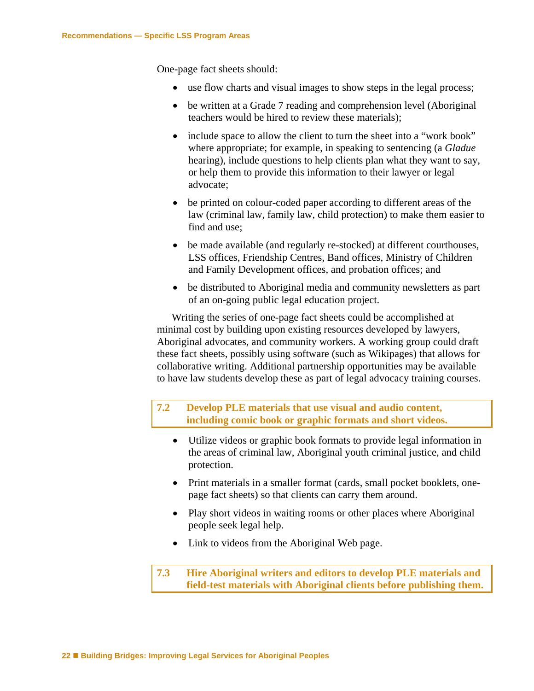One-page fact sheets should:

- use flow charts and visual images to show steps in the legal process;
- be written at a Grade 7 reading and comprehension level (Aboriginal teachers would be hired to review these materials);
- include space to allow the client to turn the sheet into a "work book" where appropriate; for example, in speaking to sentencing (a *Gladue* hearing), include questions to help clients plan what they want to say, or help them to provide this information to their lawyer or legal advocate;
- be printed on colour-coded paper according to different areas of the law (criminal law, family law, child protection) to make them easier to find and use;
- be made available (and regularly re-stocked) at different courthouses, LSS offices, Friendship Centres, Band offices, Ministry of Children and Family Development offices, and probation offices; and
- be distributed to Aboriginal media and community newsletters as part of an on-going public legal education project.

Writing the series of one-page fact sheets could be accomplished at minimal cost by building upon existing resources developed by lawyers, Aboriginal advocates, and community workers. A working group could draft these fact sheets, possibly using software (such as Wikipages) that allows for collaborative writing. Additional partnership opportunities may be available to have law students develop these as part of legal advocacy training courses.

**7.2 Develop PLE materials that use visual and audio content, including comic book or graphic formats and short videos.** 

- Utilize videos or graphic book formats to provide legal information in the areas of criminal law, Aboriginal youth criminal justice, and child protection.
- Print materials in a smaller format (cards, small pocket booklets, onepage fact sheets) so that clients can carry them around.
- Play short videos in waiting rooms or other places where Aboriginal people seek legal help.
- Link to videos from the Aboriginal Web page.

**7.3 Hire Aboriginal writers and editors to develop PLE materials and field-test materials with Aboriginal clients before publishing them.**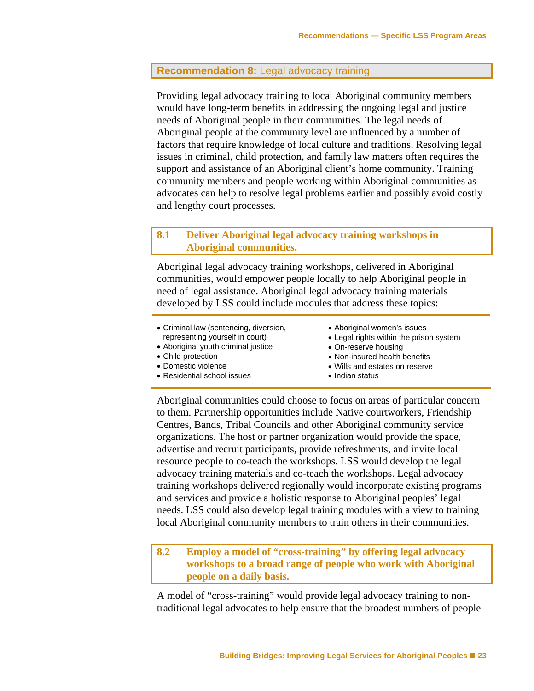#### <span id="page-29-0"></span>**Recommendation 8:** Legal advocacy training

Providing legal advocacy training to local Aboriginal community members would have long-term benefits in addressing the ongoing legal and justice needs of Aboriginal people in their communities. The legal needs of Aboriginal people at the community level are influenced by a number of factors that require knowledge of local culture and traditions. Resolving legal issues in criminal, child protection, and family law matters often requires the support and assistance of an Aboriginal client's home community. Training community members and people working within Aboriginal communities as advocates can help to resolve legal problems earlier and possibly avoid costly and lengthy court processes.

#### **8.1 Deliver Aboriginal legal advocacy training workshops in Aboriginal communities.**

Aboriginal legal advocacy training workshops, delivered in Aboriginal communities, would empower people locally to help Aboriginal people in need of legal assistance. Aboriginal legal advocacy training materials developed by LSS could include modules that address these topics:

- Criminal law (sentencing, diversion, representing yourself in court)
- Aboriginal youth criminal justice
- Child protection
- Domestic violence
- Residential school issues
- Aboriginal women's issues
- Legal rights within the prison system
- On-reserve housing
- Non-insured health benefits
- Wills and estates on reserve
- Indian status

Aboriginal communities could choose to focus on areas of particular concern to them. Partnership opportunities include Native courtworkers, Friendship Centres, Bands, Tribal Councils and other Aboriginal community service organizations. The host or partner organization would provide the space, advertise and recruit participants, provide refreshments, and invite local resource people to co-teach the workshops. LSS would develop the legal advocacy training materials and co-teach the workshops. Legal advocacy training workshops delivered regionally would incorporate existing programs and services and provide a holistic response to Aboriginal peoples' legal needs. LSS could also develop legal training modules with a view to training local Aboriginal community members to train others in their communities.

**8.2 Employ a model of "cross-training" by offering legal advocacy workshops to a broad range of people who work with Aboriginal people on a daily basis.** 

A model of "cross-training" would provide legal advocacy training to nontraditional legal advocates to help ensure that the broadest numbers of people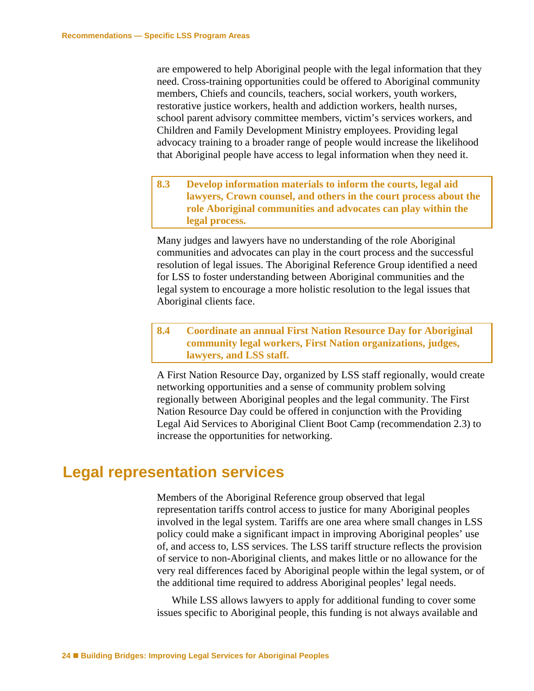<span id="page-30-0"></span>are empowered to help Aboriginal people with the legal information that they need. Cross-training opportunities could be offered to Aboriginal community members, Chiefs and councils, teachers, social workers, youth workers, restorative justice workers, health and addiction workers, health nurses, school parent advisory committee members, victim's services workers, and Children and Family Development Ministry employees. Providing legal advocacy training to a broader range of people would increase the likelihood that Aboriginal people have access to legal information when they need it.

**8.3 Develop information materials to inform the courts, legal aid lawyers, Crown counsel, and others in the court process about the role Aboriginal communities and advocates can play within the legal process.** 

Many judges and lawyers have no understanding of the role Aboriginal communities and advocates can play in the court process and the successful resolution of legal issues. The Aboriginal Reference Group identified a need for LSS to foster understanding between Aboriginal communities and the legal system to encourage a more holistic resolution to the legal issues that Aboriginal clients face.

**8.4 Coordinate an annual First Nation Resource Day for Aboriginal community legal workers, First Nation organizations, judges, lawyers, and LSS staff.** 

A First Nation Resource Day, organized by LSS staff regionally, would create networking opportunities and a sense of community problem solving regionally between Aboriginal peoples and the legal community. The First Nation Resource Day could be offered in conjunction with the Providing Legal Aid Services to Aboriginal Client Boot Camp (recommendation 2.3) to increase the opportunities for networking.

### **Legal representation services**

Members of the Aboriginal Reference group observed that legal representation tariffs control access to justice for many Aboriginal peoples involved in the legal system. Tariffs are one area where small changes in LSS policy could make a significant impact in improving Aboriginal peoples' use of, and access to, LSS services. The LSS tariff structure reflects the provision of service to non-Aboriginal clients, and makes little or no allowance for the very real differences faced by Aboriginal people within the legal system, or of the additional time required to address Aboriginal peoples' legal needs.

While LSS allows lawyers to apply for additional funding to cover some issues specific to Aboriginal people, this funding is not always available and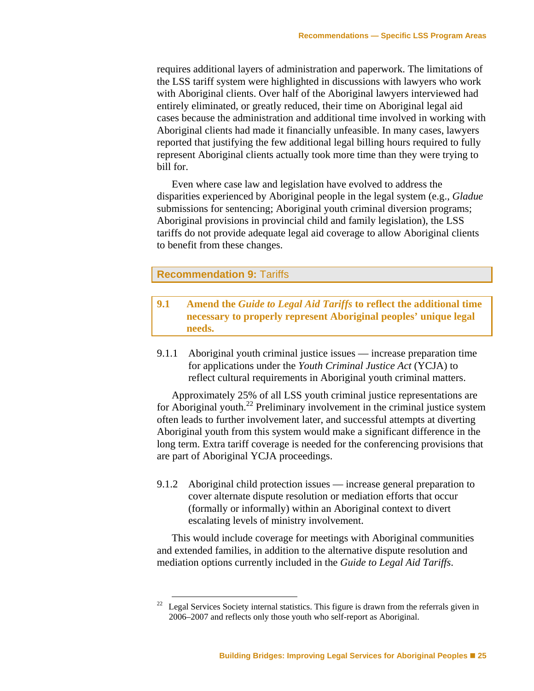requires additional layers of administration and paperwork. The limitations of the LSS tariff system were highlighted in discussions with lawyers who work with Aboriginal clients. Over half of the Aboriginal lawyers interviewed had entirely eliminated, or greatly reduced, their time on Aboriginal legal aid cases because the administration and additional time involved in working with Aboriginal clients had made it financially unfeasible. In many cases, lawyers reported that justifying the few additional legal billing hours required to fully represent Aboriginal clients actually took more time than they were trying to bill for.

Even where case law and legislation have evolved to address the disparities experienced by Aboriginal people in the legal system (e.g., *Gladue* submissions for sentencing; Aboriginal youth criminal diversion programs; Aboriginal provisions in provincial child and family legislation), the LSS tariffs do not provide adequate legal aid coverage to allow Aboriginal clients to benefit from these changes.

#### **Recommendation 9:** Tariffs

- **9.1 Amend the** *Guide to Legal Aid Tariffs* **to reflect the additional time necessary to properly represent Aboriginal peoples' unique legal needs.**
- 9.1.1 Aboriginal youth criminal justice issues increase preparation time for applications under the *Youth Criminal Justice Act* (YCJA) to reflect cultural requirements in Aboriginal youth criminal matters.

Approximately 25% of all LSS youth criminal justice representations are for Aboriginal youth.22 Preliminary involvement in the criminal justice system often leads to further involvement later, and successful attempts at diverting Aboriginal youth from this system would make a significant difference in the long term. Extra tariff coverage is needed for the conferencing provisions that are part of Aboriginal YCJA proceedings.

9.1.2 Aboriginal child protection issues — increase general preparation to cover alternate dispute resolution or mediation efforts that occur (formally or informally) within an Aboriginal context to divert escalating levels of ministry involvement.

This would include coverage for meetings with Aboriginal communities and extended families, in addition to the alternative dispute resolution and mediation options currently included in the *Guide to Legal Aid Tariffs*.

 $22$  Legal Services Society internal statistics. This figure is drawn from the referrals given in 2006–2007 and reflects only those youth who self-report as Aboriginal.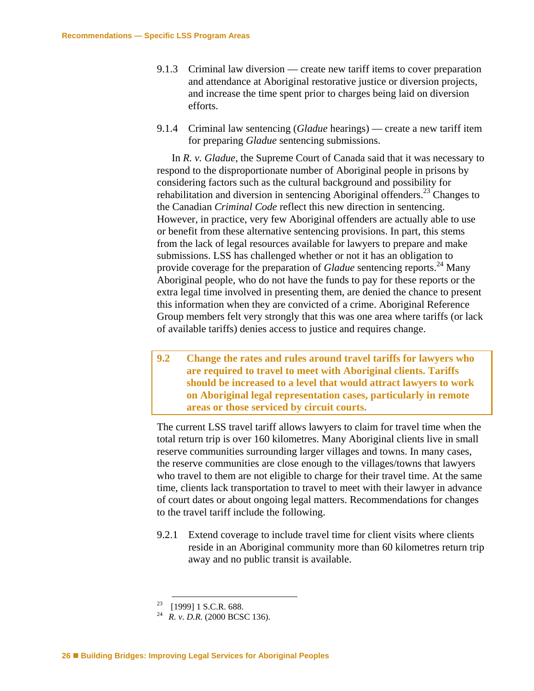- 9.1.3 Criminal law diversion create new tariff items to cover preparation and attendance at Aboriginal restorative justice or diversion projects, and increase the time spent prior to charges being laid on diversion efforts.
- 9.1.4 Criminal law sentencing (*Gladue* hearings) create a new tariff item for preparing *Gladue* sentencing submissions.

In *R. v. Gladue*, the Supreme Court of Canada said that it was necessary to respond to the disproportionate number of Aboriginal people in prisons by considering factors such as the cultural background and possibility for rehabilitation and diversion in sentencing Aboriginal offenders.23 Changes to the Canadian *Criminal Code* reflect this new direction in sentencing. However, in practice, very few Aboriginal offenders are actually able to use or benefit from these alternative sentencing provisions. In part, this stems from the lack of legal resources available for lawyers to prepare and make submissions. LSS has challenged whether or not it has an obligation to provide coverage for the preparation of *Gladue* sentencing reports.<sup>24</sup> Many Aboriginal people, who do not have the funds to pay for these reports or the extra legal time involved in presenting them, are denied the chance to present this information when they are convicted of a crime. Aboriginal Reference Group members felt very strongly that this was one area where tariffs (or lack of available tariffs) denies access to justice and requires change.

**9.2 Change the rates and rules around travel tariffs for lawyers who are required to travel to meet with Aboriginal clients. Tariffs should be increased to a level that would attract lawyers to work on Aboriginal legal representation cases, particularly in remote areas or those serviced by circuit courts.** 

The current LSS travel tariff allows lawyers to claim for travel time when the total return trip is over 160 kilometres. Many Aboriginal clients live in small reserve communities surrounding larger villages and towns. In many cases, the reserve communities are close enough to the villages/towns that lawyers who travel to them are not eligible to charge for their travel time. At the same time, clients lack transportation to travel to meet with their lawyer in advance of court dates or about ongoing legal matters. Recommendations for changes to the travel tariff include the following.

9.2.1 Extend coverage to include travel time for client visits where clients reside in an Aboriginal community more than 60 kilometres return trip away and no public transit is available.

 $[1999]$  1 S.C.R. 688.

<sup>24</sup> *R. v. D.R.* (2000 BCSC 136).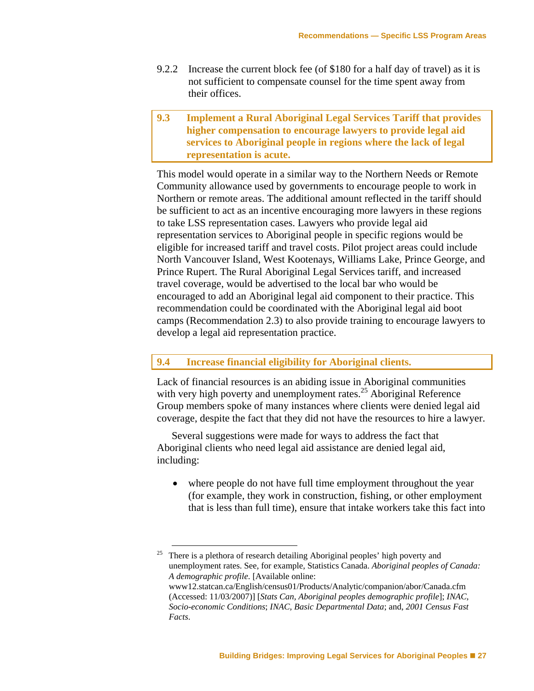- 9.2.2 Increase the current block fee (of \$180 for a half day of travel) as it is not sufficient to compensate counsel for the time spent away from their offices.
- **9.3 Implement a Rural Aboriginal Legal Services Tariff that provides higher compensation to encourage lawyers to provide legal aid services to Aboriginal people in regions where the lack of legal representation is acute.**

This model would operate in a similar way to the Northern Needs or Remote Community allowance used by governments to encourage people to work in Northern or remote areas. The additional amount reflected in the tariff should be sufficient to act as an incentive encouraging more lawyers in these regions to take LSS representation cases. Lawyers who provide legal aid representation services to Aboriginal people in specific regions would be eligible for increased tariff and travel costs. Pilot project areas could include North Vancouver Island, West Kootenays, Williams Lake, Prince George, and Prince Rupert. The Rural Aboriginal Legal Services tariff, and increased travel coverage, would be advertised to the local bar who would be encouraged to add an Aboriginal legal aid component to their practice. This recommendation could be coordinated with the Aboriginal legal aid boot camps (Recommendation 2.3) to also provide training to encourage lawyers to develop a legal aid representation practice.

#### **9.4 Increase financial eligibility for Aboriginal clients.**

Lack of financial resources is an abiding issue in Aboriginal communities with very high poverty and unemployment rates.<sup>25</sup> Aboriginal Reference Group members spoke of many instances where clients were denied legal aid coverage, despite the fact that they did not have the resources to hire a lawyer.

Several suggestions were made for ways to address the fact that Aboriginal clients who need legal aid assistance are denied legal aid, including:

• where people do not have full time employment throughout the year (for example, they work in construction, fishing, or other employment that is less than full time), ensure that intake workers take this fact into

There is a plethora of research detailing Aboriginal peoples' high poverty and unemployment rates. See, for example, Statistics Canada. *Aboriginal peoples of Canada: A demographic profile*. [Available online: www12.statcan.ca/English/census01/Products/Analytic/companion/abor/Canada.cfm (Accessed: 11/03/2007)] [*Stats Can, Aboriginal peoples demographic profile*]; *INAC,* 

*Socio-economic Conditions*; *INAC, Basic Departmental Data*; and, *2001 Census Fast Facts*.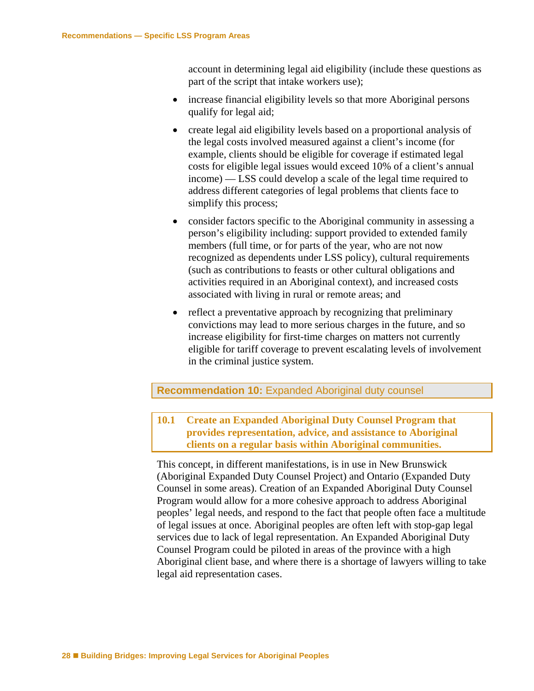account in determining legal aid eligibility (include these questions as part of the script that intake workers use);

- <span id="page-34-0"></span>• increase financial eligibility levels so that more Aboriginal persons qualify for legal aid;
- create legal aid eligibility levels based on a proportional analysis of the legal costs involved measured against a client's income (for example, clients should be eligible for coverage if estimated legal costs for eligible legal issues would exceed 10% of a client's annual income) — LSS could develop a scale of the legal time required to address different categories of legal problems that clients face to simplify this process;
- consider factors specific to the Aboriginal community in assessing a person's eligibility including: support provided to extended family members (full time, or for parts of the year, who are not now recognized as dependents under LSS policy), cultural requirements (such as contributions to feasts or other cultural obligations and activities required in an Aboriginal context), and increased costs associated with living in rural or remote areas; and
- reflect a preventative approach by recognizing that preliminary convictions may lead to more serious charges in the future, and so increase eligibility for first-time charges on matters not currently eligible for tariff coverage to prevent escalating levels of involvement in the criminal justice system.

#### **Recommendation 10:** Expanded Aboriginal duty counsel

**10.1 Create an Expanded Aboriginal Duty Counsel Program that provides representation, advice, and assistance to Aboriginal clients on a regular basis within Aboriginal communities.** 

This concept, in different manifestations, is in use in New Brunswick (Aboriginal Expanded Duty Counsel Project) and Ontario (Expanded Duty Counsel in some areas). Creation of an Expanded Aboriginal Duty Counsel Program would allow for a more cohesive approach to address Aboriginal peoples' legal needs, and respond to the fact that people often face a multitude of legal issues at once. Aboriginal peoples are often left with stop-gap legal services due to lack of legal representation. An Expanded Aboriginal Duty Counsel Program could be piloted in areas of the province with a high Aboriginal client base, and where there is a shortage of lawyers willing to take legal aid representation cases.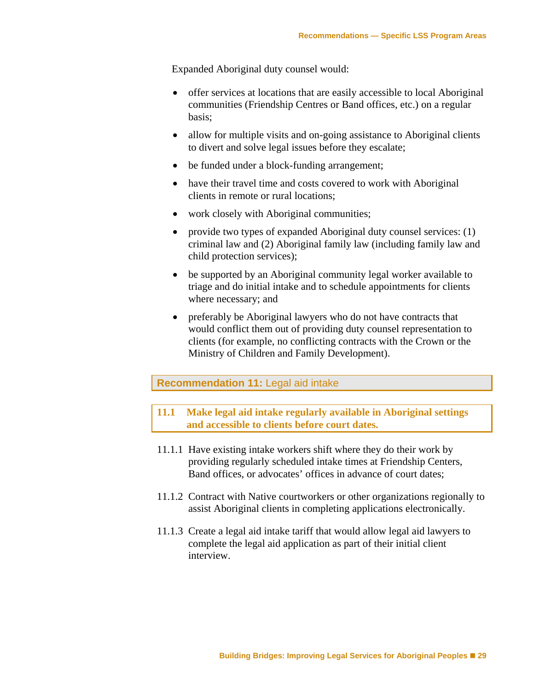<span id="page-35-0"></span>Expanded Aboriginal duty counsel would:

- offer services at locations that are easily accessible to local Aboriginal communities (Friendship Centres or Band offices, etc.) on a regular basis;
- allow for multiple visits and on-going assistance to Aboriginal clients to divert and solve legal issues before they escalate;
- be funded under a block-funding arrangement;
- have their travel time and costs covered to work with Aboriginal clients in remote or rural locations;
- work closely with Aboriginal communities;
- provide two types of expanded Aboriginal duty counsel services: (1) criminal law and (2) Aboriginal family law (including family law and child protection services);
- be supported by an Aboriginal community legal worker available to triage and do initial intake and to schedule appointments for clients where necessary; and
- preferably be Aboriginal lawyers who do not have contracts that would conflict them out of providing duty counsel representation to clients (for example, no conflicting contracts with the Crown or the Ministry of Children and Family Development).

**Recommendation 11:** Legal aid intake

- **11.1 Make legal aid intake regularly available in Aboriginal settings and accessible to clients before court dates.**
- 11.1.1 Have existing intake workers shift where they do their work by providing regularly scheduled intake times at Friendship Centers, Band offices, or advocates' offices in advance of court dates;
- 11.1.2 Contract with Native courtworkers or other organizations regionally to assist Aboriginal clients in completing applications electronically.
- 11.1.3 Create a legal aid intake tariff that would allow legal aid lawyers to complete the legal aid application as part of their initial client interview.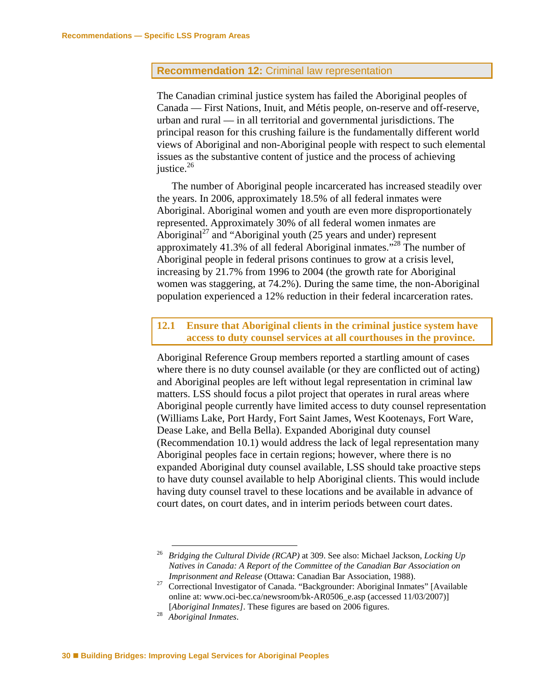#### <span id="page-36-0"></span>**Recommendation 12:** Criminal law representation

The Canadian criminal justice system has failed the Aboriginal peoples of Canada — First Nations, Inuit, and Métis people, on-reserve and off-reserve, urban and rural — in all territorial and governmental jurisdictions. The principal reason for this crushing failure is the fundamentally different world views of Aboriginal and non-Aboriginal people with respect to such elemental issues as the substantive content of justice and the process of achieving justice. $26$ 

The number of Aboriginal people incarcerated has increased steadily over the years. In 2006, approximately 18.5% of all federal inmates were Aboriginal. Aboriginal women and youth are even more disproportionately represented. Approximately 30% of all federal women inmates are Aboriginal<sup>27</sup> and "Aboriginal youth (25 years and under) represent approximately 41.3% of all federal Aboriginal inmates."28 The number of Aboriginal people in federal prisons continues to grow at a crisis level, increasing by 21.7% from 1996 to 2004 (the growth rate for Aboriginal women was staggering, at 74.2%). During the same time, the non-Aboriginal population experienced a 12% reduction in their federal incarceration rates.

#### **12.1 Ensure that Aboriginal clients in the criminal justice system have access to duty counsel services at all courthouses in the province.**

Aboriginal Reference Group members reported a startling amount of cases where there is no duty counsel available (or they are conflicted out of acting) and Aboriginal peoples are left without legal representation in criminal law matters. LSS should focus a pilot project that operates in rural areas where Aboriginal people currently have limited access to duty counsel representation (Williams Lake, Port Hardy, Fort Saint James, West Kootenays, Fort Ware, Dease Lake, and Bella Bella). Expanded Aboriginal duty counsel (Recommendation 10.1) would address the lack of legal representation many Aboriginal peoples face in certain regions; however, where there is no expanded Aboriginal duty counsel available, LSS should take proactive steps to have duty counsel available to help Aboriginal clients. This would include having duty counsel travel to these locations and be available in advance of court dates, on court dates, and in interim periods between court dates.

 <sup>26</sup> *Bridging the Cultural Divide (RCAP)* at 309. See also: Michael Jackson, *Locking Up Natives in Canada: A Report of the Committee of the Canadian Bar Association on* 

*Imprisonment and Release* (Ottawa: Canadian Bar Association, 1988).<br>Correctional Investigator of Canada. "Backgrounder: Aboriginal Inmates" [Available online at: www.oci-bec.ca/newsroom/bk-AR0506\_e.asp (accessed 11/03/2007)] [*Aboriginal Inmates]*. These figures are based on 2006 figures. 28 *Aboriginal Inmates*.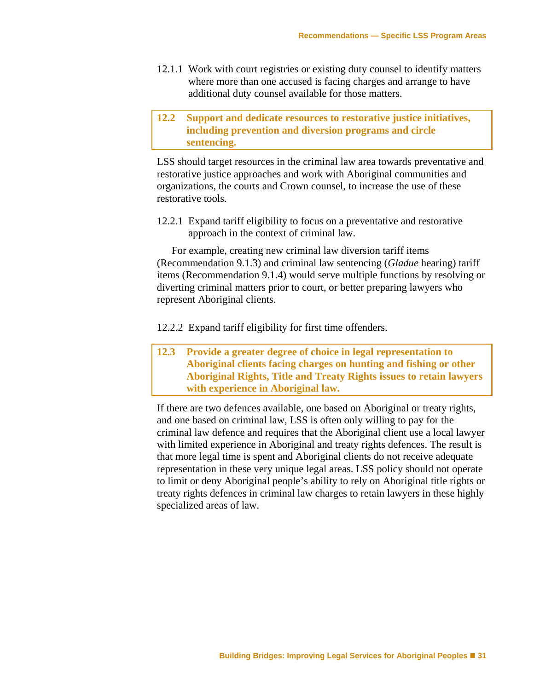- 12.1.1 Work with court registries or existing duty counsel to identify matters where more than one accused is facing charges and arrange to have additional duty counsel available for those matters.
- **12.2 Support and dedicate resources to restorative justice initiatives, including prevention and diversion programs and circle sentencing.**

LSS should target resources in the criminal law area towards preventative and restorative justice approaches and work with Aboriginal communities and organizations, the courts and Crown counsel, to increase the use of these restorative tools.

12.2.1 Expand tariff eligibility to focus on a preventative and restorative approach in the context of criminal law.

For example, creating new criminal law diversion tariff items (Recommendation 9.1.3) and criminal law sentencing (*Gladue* hearing) tariff items (Recommendation 9.1.4) would serve multiple functions by resolving or diverting criminal matters prior to court, or better preparing lawyers who represent Aboriginal clients.

12.2.2 Expand tariff eligibility for first time offenders.

**12.3 Provide a greater degree of choice in legal representation to Aboriginal clients facing charges on hunting and fishing or other Aboriginal Rights, Title and Treaty Rights issues to retain lawyers with experience in Aboriginal law.** 

If there are two defences available, one based on Aboriginal or treaty rights, and one based on criminal law, LSS is often only willing to pay for the criminal law defence and requires that the Aboriginal client use a local lawyer with limited experience in Aboriginal and treaty rights defences. The result is that more legal time is spent and Aboriginal clients do not receive adequate representation in these very unique legal areas. LSS policy should not operate to limit or deny Aboriginal people's ability to rely on Aboriginal title rights or treaty rights defences in criminal law charges to retain lawyers in these highly specialized areas of law.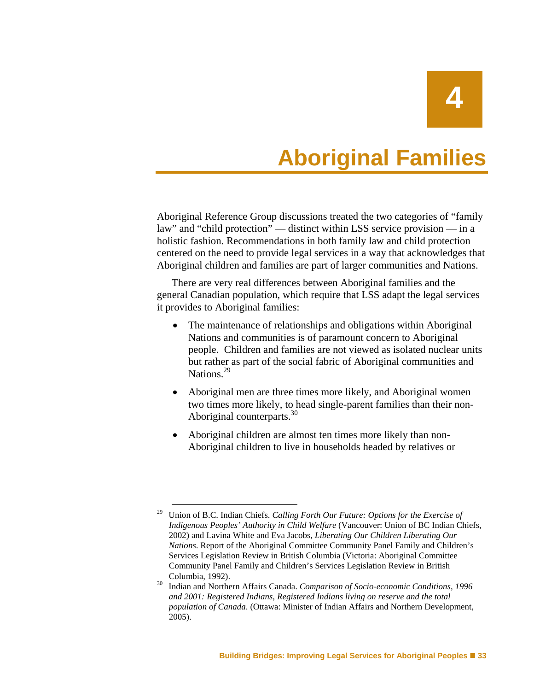**4**

# **Aboriginal Families**

<span id="page-38-0"></span>Aboriginal Reference Group discussions treated the two categories of "family law" and "child protection" — distinct within LSS service provision — in a holistic fashion. Recommendations in both family law and child protection centered on the need to provide legal services in a way that acknowledges that Aboriginal children and families are part of larger communities and Nations.

There are very real differences between Aboriginal families and the general Canadian population, which require that LSS adapt the legal services it provides to Aboriginal families:

- The maintenance of relationships and obligations within Aboriginal Nations and communities is of paramount concern to Aboriginal people. Children and families are not viewed as isolated nuclear units but rather as part of the social fabric of Aboriginal communities and Nations.<sup>29</sup>
- Aboriginal men are three times more likely, and Aboriginal women two times more likely, to head single-parent families than their non-Aboriginal counterparts.<sup>30</sup>
- Aboriginal children are almost ten times more likely than non-Aboriginal children to live in households headed by relatives or

 <sup>29</sup> Union of B.C. Indian Chiefs. *Calling Forth Our Future: Options for the Exercise of Indigenous Peoples' Authority in Child Welfare* (Vancouver: Union of BC Indian Chiefs, 2002) and Lavina White and Eva Jacobs, *Liberating Our Children Liberating Our Nations*. Report of the Aboriginal Committee Community Panel Family and Children's Services Legislation Review in British Columbia (Victoria: Aboriginal Committee Community Panel Family and Children's Services Legislation Review in British Columbia, 1992).<br>Indian and Northern Affairs Canada. *Comparison of Socio-economic Conditions, 1996* 

*and 2001: Registered Indians, Registered Indians living on reserve and the total population of Canada*. (Ottawa: Minister of Indian Affairs and Northern Development, 2005).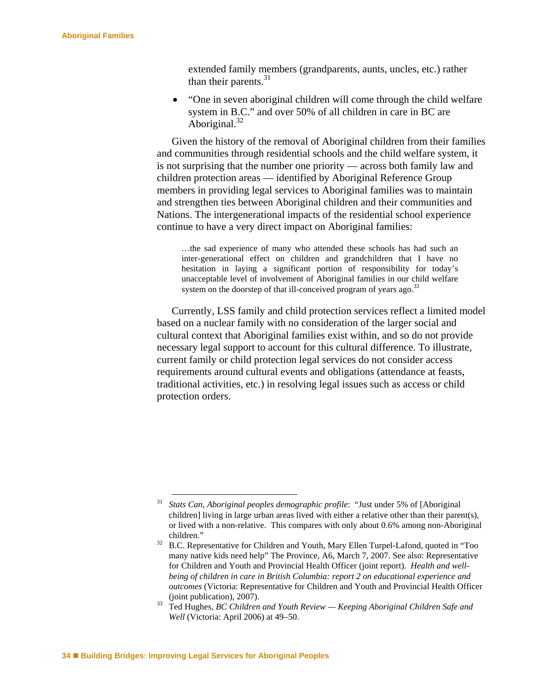extended family members (grandparents, aunts, uncles, etc.) rather than their parents. $31$ 

• "One in seven aboriginal children will come through the child welfare system in B.C." and over 50% of all children in care in BC are Aboriginal. $32$ 

Given the history of the removal of Aboriginal children from their families and communities through residential schools and the child welfare system, it is not surprising that the number one priority — across both family law and children protection areas — identified by Aboriginal Reference Group members in providing legal services to Aboriginal families was to maintain and strengthen ties between Aboriginal children and their communities and Nations. The intergenerational impacts of the residential school experience continue to have a very direct impact on Aboriginal families:

…the sad experience of many who attended these schools has had such an inter-generational effect on children and grandchildren that I have no hesitation in laying a significant portion of responsibility for today's unacceptable level of involvement of Aboriginal families in our child welfare system on the doorstep of that ill-conceived program of years ago.<sup>33</sup>

Currently, LSS family and child protection services reflect a limited model based on a nuclear family with no consideration of the larger social and cultural context that Aboriginal families exist within, and so do not provide necessary legal support to account for this cultural difference. To illustrate, current family or child protection legal services do not consider access requirements around cultural events and obligations (attendance at feasts, traditional activities, etc.) in resolving legal issues such as access or child protection orders.

 <sup>31</sup> *Stats Can, Aboriginal peoples demographic profile*: "Just under 5% of [Aboriginal children] living in large urban areas lived with either a relative other than their parent(s), or lived with a non-relative. This compares with only about 0.6% among non-Aboriginal

children." 32 B.C. Representative for Children and Youth, Mary Ellen Turpel-Lafond, quoted in "Too many native kids need help" The Province, A6, March 7, 2007. See also: Representative for Children and Youth and Provincial Health Officer (joint report). *Health and wellbeing of children in care in British Columbia: report 2 on educational experience and outcomes* (Victoria: Representative for Children and Youth and Provincial Health Officer (joint publication), 2007). 33 Ted Hughes, *BC Children and Youth Review — Keeping Aboriginal Children Safe and* 

*Well* (Victoria: April 2006) at 49–50.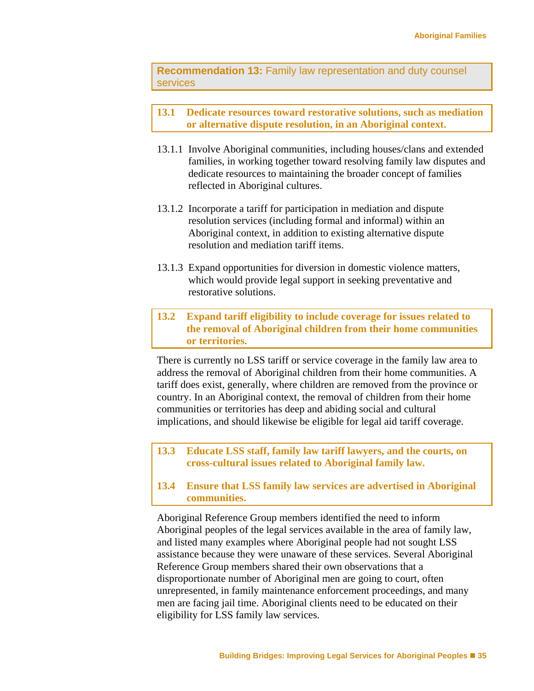<span id="page-40-0"></span>**Recommendation 13:** Family law representation and duty counsel services

#### **13.1 Dedicate resources toward restorative solutions, such as mediation or alternative dispute resolution, in an Aboriginal context.**

- 13.1.1 Involve Aboriginal communities, including houses/clans and extended families, in working together toward resolving family law disputes and dedicate resources to maintaining the broader concept of families reflected in Aboriginal cultures.
- 13.1.2 Incorporate a tariff for participation in mediation and dispute resolution services (including formal and informal) within an Aboriginal context, in addition to existing alternative dispute resolution and mediation tariff items.
- 13.1.3 Expand opportunities for diversion in domestic violence matters, which would provide legal support in seeking preventative and restorative solutions.

#### **13.2 Expand tariff eligibility to include coverage for issues related to the removal of Aboriginal children from their home communities or territories.**

There is currently no LSS tariff or service coverage in the family law area to address the removal of Aboriginal children from their home communities. A tariff does exist, generally, where children are removed from the province or country. In an Aboriginal context, the removal of children from their home communities or territories has deep and abiding social and cultural implications, and should likewise be eligible for legal aid tariff coverage.

**13.3 Educate LSS staff, family law tariff lawyers, and the courts, on cross-cultural issues related to Aboriginal family law.** 

#### **13.4 Ensure that LSS family law services are advertised in Aboriginal communities.**

Aboriginal Reference Group members identified the need to inform Aboriginal peoples of the legal services available in the area of family law, and listed many examples where Aboriginal people had not sought LSS assistance because they were unaware of these services. Several Aboriginal Reference Group members shared their own observations that a disproportionate number of Aboriginal men are going to court, often unrepresented, in family maintenance enforcement proceedings, and many men are facing jail time. Aboriginal clients need to be educated on their eligibility for LSS family law services.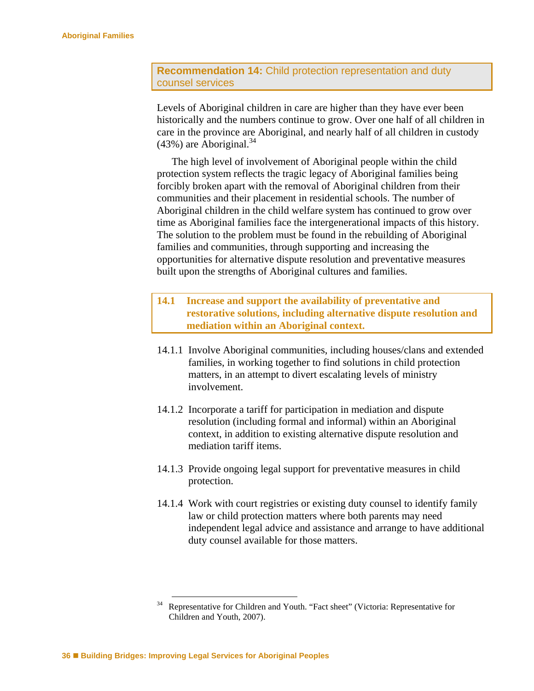<span id="page-41-0"></span>**Recommendation 14:** Child protection representation and duty counsel services

Levels of Aboriginal children in care are higher than they have ever been historically and the numbers continue to grow. Over one half of all children in care in the province are Aboriginal, and nearly half of all children in custody  $(43\%)$  are Aboriginal.<sup>34</sup>

The high level of involvement of Aboriginal people within the child protection system reflects the tragic legacy of Aboriginal families being forcibly broken apart with the removal of Aboriginal children from their communities and their placement in residential schools. The number of Aboriginal children in the child welfare system has continued to grow over time as Aboriginal families face the intergenerational impacts of this history. The solution to the problem must be found in the rebuilding of Aboriginal families and communities, through supporting and increasing the opportunities for alternative dispute resolution and preventative measures built upon the strengths of Aboriginal cultures and families.

- **14.1 Increase and support the availability of preventative and restorative solutions, including alternative dispute resolution and mediation within an Aboriginal context.**
- 14.1.1 Involve Aboriginal communities, including houses/clans and extended families, in working together to find solutions in child protection matters, in an attempt to divert escalating levels of ministry involvement.
- 14.1.2 Incorporate a tariff for participation in mediation and dispute resolution (including formal and informal) within an Aboriginal context, in addition to existing alternative dispute resolution and mediation tariff items.
- 14.1.3 Provide ongoing legal support for preventative measures in child protection.
- 14.1.4 Work with court registries or existing duty counsel to identify family law or child protection matters where both parents may need independent legal advice and assistance and arrange to have additional duty counsel available for those matters.

 <sup>34</sup> Representative for Children and Youth. "Fact sheet" (Victoria: Representative for Children and Youth, 2007).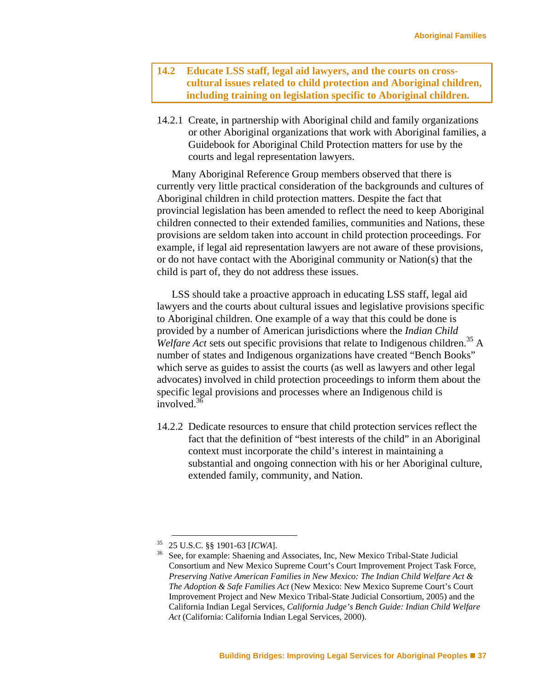- **14.2 Educate LSS staff, legal aid lawyers, and the courts on crosscultural issues related to child protection and Aboriginal children, including training on legislation specific to Aboriginal children.**
- 14.2.1 Create, in partnership with Aboriginal child and family organizations or other Aboriginal organizations that work with Aboriginal families, a Guidebook for Aboriginal Child Protection matters for use by the courts and legal representation lawyers.

Many Aboriginal Reference Group members observed that there is currently very little practical consideration of the backgrounds and cultures of Aboriginal children in child protection matters. Despite the fact that provincial legislation has been amended to reflect the need to keep Aboriginal children connected to their extended families, communities and Nations, these provisions are seldom taken into account in child protection proceedings. For example, if legal aid representation lawyers are not aware of these provisions, or do not have contact with the Aboriginal community or Nation(s) that the child is part of, they do not address these issues.

LSS should take a proactive approach in educating LSS staff, legal aid lawyers and the courts about cultural issues and legislative provisions specific to Aboriginal children. One example of a way that this could be done is provided by a number of American jurisdictions where the *Indian Child Welfare Act* sets out specific provisions that relate to Indigenous children.<sup>35</sup> A number of states and Indigenous organizations have created "Bench Books" which serve as guides to assist the courts (as well as lawyers and other legal advocates) involved in child protection proceedings to inform them about the specific legal provisions and processes where an Indigenous child is involved. $3\overline{6}$ 

14.2.2 Dedicate resources to ensure that child protection services reflect the fact that the definition of "best interests of the child" in an Aboriginal context must incorporate the child's interest in maintaining a substantial and ongoing connection with his or her Aboriginal culture, extended family, community, and Nation.

 <sup>35 25</sup> U.S.C. §§ 1901-63 [*ICWA*]. 36 See, for example: Shaening and Associates, Inc, New Mexico Tribal-State Judicial Consortium and New Mexico Supreme Court's Court Improvement Project Task Force, *Preserving Native American Families in New Mexico: The Indian Child Welfare Act & The Adoption & Safe Families Act* (New Mexico: New Mexico Supreme Court's Court Improvement Project and New Mexico Tribal-State Judicial Consortium, 2005) and the California Indian Legal Services, *California Judge's Bench Guide: Indian Child Welfare Act* (California: California Indian Legal Services, 2000).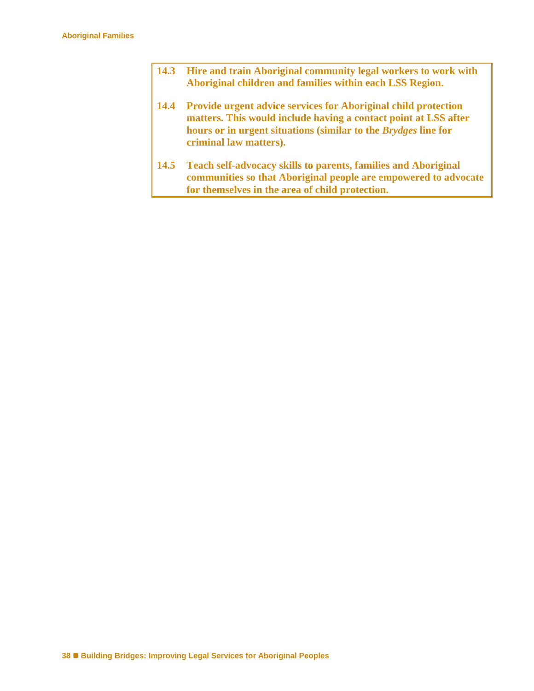- **14.3 Hire and train Aboriginal community legal workers to work with Aboriginal children and families within each LSS Region.**
- **14.4 Provide urgent advice services for Aboriginal child protection matters. This would include having a contact point at LSS after hours or in urgent situations (similar to the** *Brydges* **line for criminal law matters).**
- **14.5 Teach self-advocacy skills to parents, families and Aboriginal communities so that Aboriginal people are empowered to advocate for themselves in the area of child protection.**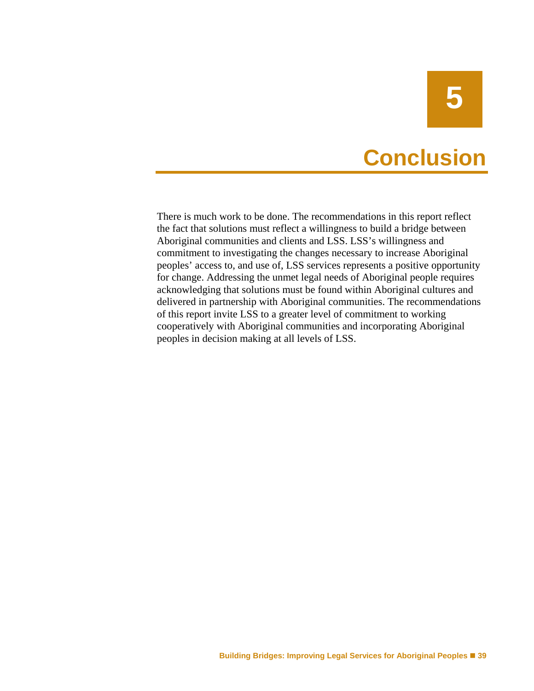# **5**

# **Conclusion**

<span id="page-44-0"></span>There is much work to be done. The recommendations in this report reflect the fact that solutions must reflect a willingness to build a bridge between Aboriginal communities and clients and LSS. LSS's willingness and commitment to investigating the changes necessary to increase Aboriginal peoples' access to, and use of, LSS services represents a positive opportunity for change. Addressing the unmet legal needs of Aboriginal people requires acknowledging that solutions must be found within Aboriginal cultures and delivered in partnership with Aboriginal communities. The recommendations of this report invite LSS to a greater level of commitment to working cooperatively with Aboriginal communities and incorporating Aboriginal peoples in decision making at all levels of LSS.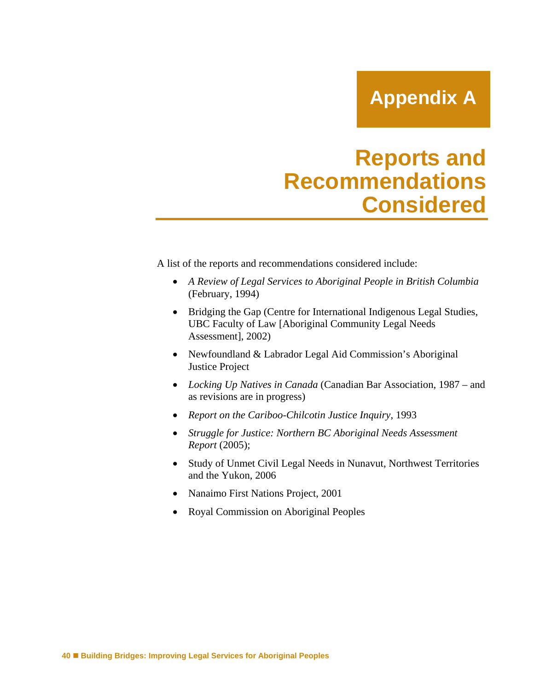## **Appendix A**

# **Reports and Recommendations Considered**

<span id="page-45-0"></span>A list of the reports and recommendations considered include:

- *A Review of Legal Services to Aboriginal People in British Columbia* (February, 1994)
- Bridging the Gap (Centre for International Indigenous Legal Studies, UBC Faculty of Law [Aboriginal Community Legal Needs Assessment], 2002)
- Newfoundland & Labrador Legal Aid Commission's Aboriginal Justice Project
- *Locking Up Natives in Canada* (Canadian Bar Association, 1987 and as revisions are in progress)
- *Report on the Cariboo-Chilcotin Justice Inquiry*, 1993
- *Struggle for Justice: Northern BC Aboriginal Needs Assessment Report* (2005);
- Study of Unmet Civil Legal Needs in Nunavut, Northwest Territories and the Yukon, 2006
- Nanaimo First Nations Project, 2001
- Royal Commission on Aboriginal Peoples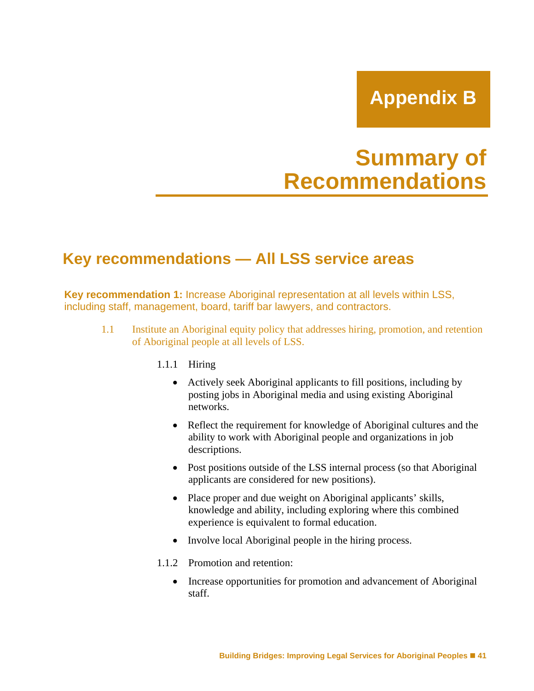# **Appendix B**

# **Summary of Recommendations**

### <span id="page-46-0"></span>**Key recommendations — All LSS service areas**

**Key recommendation 1:** Increase Aboriginal representation at all levels within LSS, including staff, management, board, tariff bar lawyers, and contractors.

- 1.1 Institute an Aboriginal equity policy that addresses hiring, promotion, and retention of Aboriginal people at all levels of LSS.
	- 1.1.1 Hiring
		- Actively seek Aboriginal applicants to fill positions, including by posting jobs in Aboriginal media and using existing Aboriginal networks.
		- Reflect the requirement for knowledge of Aboriginal cultures and the ability to work with Aboriginal people and organizations in job descriptions.
		- Post positions outside of the LSS internal process (so that Aboriginal applicants are considered for new positions).
		- Place proper and due weight on Aboriginal applicants' skills, knowledge and ability, including exploring where this combined experience is equivalent to formal education.
		- Involve local Aboriginal people in the hiring process.
	- 1.1.2 Promotion and retention:
		- Increase opportunities for promotion and advancement of Aboriginal staff.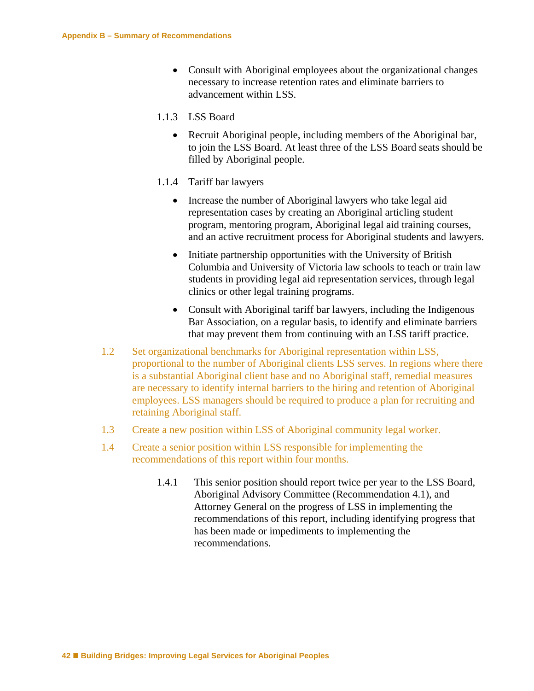- Consult with Aboriginal employees about the organizational changes necessary to increase retention rates and eliminate barriers to advancement within LSS.
- 1.1.3 LSS Board
	- Recruit Aboriginal people, including members of the Aboriginal bar, to join the LSS Board. At least three of the LSS Board seats should be filled by Aboriginal people.
- 1.1.4 Tariff bar lawyers
	- Increase the number of Aboriginal lawyers who take legal aid representation cases by creating an Aboriginal articling student program, mentoring program, Aboriginal legal aid training courses, and an active recruitment process for Aboriginal students and lawyers.
	- Initiate partnership opportunities with the University of British Columbia and University of Victoria law schools to teach or train law students in providing legal aid representation services, through legal clinics or other legal training programs.
	- Consult with Aboriginal tariff bar lawyers, including the Indigenous Bar Association, on a regular basis, to identify and eliminate barriers that may prevent them from continuing with an LSS tariff practice.
- 1.2 Set organizational benchmarks for Aboriginal representation within LSS, proportional to the number of Aboriginal clients LSS serves. In regions where there is a substantial Aboriginal client base and no Aboriginal staff, remedial measures are necessary to identify internal barriers to the hiring and retention of Aboriginal employees. LSS managers should be required to produce a plan for recruiting and retaining Aboriginal staff.
- 1.3 Create a new position within LSS of Aboriginal community legal worker.
- 1.4 Create a senior position within LSS responsible for implementing the recommendations of this report within four months.
	- 1.4.1 This senior position should report twice per year to the LSS Board, Aboriginal Advisory Committee (Recommendation 4.1), and Attorney General on the progress of LSS in implementing the recommendations of this report, including identifying progress that has been made or impediments to implementing the recommendations.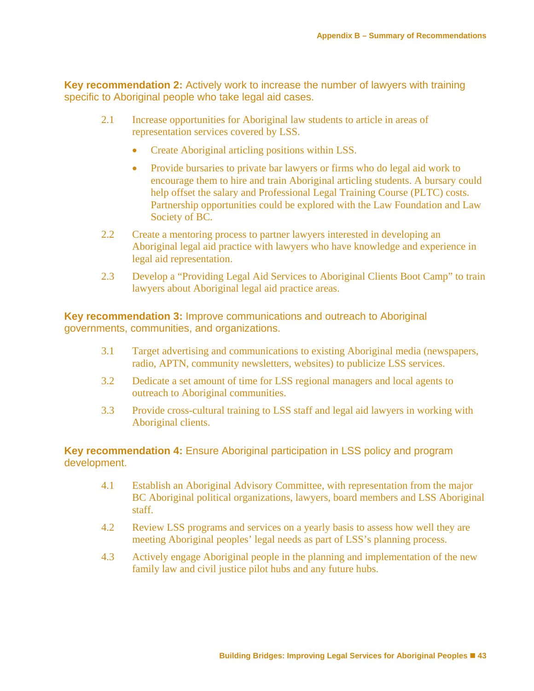**Key recommendation 2:** Actively work to increase the number of lawyers with training specific to Aboriginal people who take legal aid cases.

- 2.1 Increase opportunities for Aboriginal law students to article in areas of representation services covered by LSS.
	- Create Aboriginal articling positions within LSS.
	- Provide bursaries to private bar lawyers or firms who do legal aid work to encourage them to hire and train Aboriginal articling students. A bursary could help offset the salary and Professional Legal Training Course (PLTC) costs. Partnership opportunities could be explored with the Law Foundation and Law Society of BC.
- 2.2 Create a mentoring process to partner lawyers interested in developing an Aboriginal legal aid practice with lawyers who have knowledge and experience in legal aid representation.
- 2.3 Develop a "Providing Legal Aid Services to Aboriginal Clients Boot Camp" to train lawyers about Aboriginal legal aid practice areas.

**Key recommendation 3:** Improve communications and outreach to Aboriginal governments, communities, and organizations.

- 3.1 Target advertising and communications to existing Aboriginal media (newspapers, radio, APTN, community newsletters, websites) to publicize LSS services.
- 3.2 Dedicate a set amount of time for LSS regional managers and local agents to outreach to Aboriginal communities.
- 3.3 Provide cross-cultural training to LSS staff and legal aid lawyers in working with Aboriginal clients.

**Key recommendation 4:** Ensure Aboriginal participation in LSS policy and program development.

- 4.1 Establish an Aboriginal Advisory Committee, with representation from the major BC Aboriginal political organizations, lawyers, board members and LSS Aboriginal staff.
- 4.2 Review LSS programs and services on a yearly basis to assess how well they are meeting Aboriginal peoples' legal needs as part of LSS's planning process.
- 4.3 Actively engage Aboriginal people in the planning and implementation of the new family law and civil justice pilot hubs and any future hubs.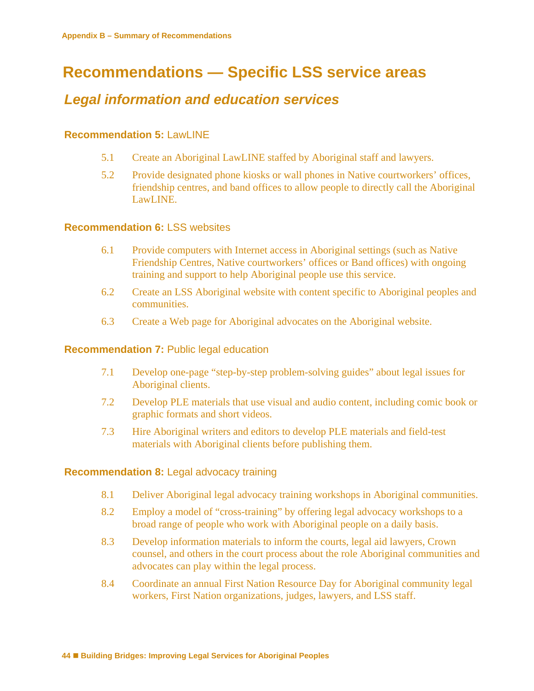## <span id="page-49-0"></span>**Recommendations — Specific LSS service areas**

### *Legal information and education services*

#### **Recommendation 5:** LawLINE

- 5.1 Create an Aboriginal LawLINE staffed by Aboriginal staff and lawyers.
- 5.2 Provide designated phone kiosks or wall phones in Native courtworkers' offices, friendship centres, and band offices to allow people to directly call the Aboriginal LawLINE.

#### **Recommendation 6:** LSS websites

- 6.1 Provide computers with Internet access in Aboriginal settings (such as Native Friendship Centres, Native courtworkers' offices or Band offices) with ongoing training and support to help Aboriginal people use this service.
- 6.2 Create an LSS Aboriginal website with content specific to Aboriginal peoples and communities.
- 6.3 Create a Web page for Aboriginal advocates on the Aboriginal website.

#### **Recommendation 7: Public legal education**

- 7.1 Develop one-page "step-by-step problem-solving guides" about legal issues for Aboriginal clients.
- 7.2 Develop PLE materials that use visual and audio content, including comic book or graphic formats and short videos.
- 7.3 Hire Aboriginal writers and editors to develop PLE materials and field-test materials with Aboriginal clients before publishing them.

#### **Recommendation 8:** Legal advocacy training

- 8.1 Deliver Aboriginal legal advocacy training workshops in Aboriginal communities.
- 8.2 Employ a model of "cross-training" by offering legal advocacy workshops to a broad range of people who work with Aboriginal people on a daily basis.
- 8.3 Develop information materials to inform the courts, legal aid lawyers, Crown counsel, and others in the court process about the role Aboriginal communities and advocates can play within the legal process.
- 8.4 Coordinate an annual First Nation Resource Day for Aboriginal community legal workers, First Nation organizations, judges, lawyers, and LSS staff.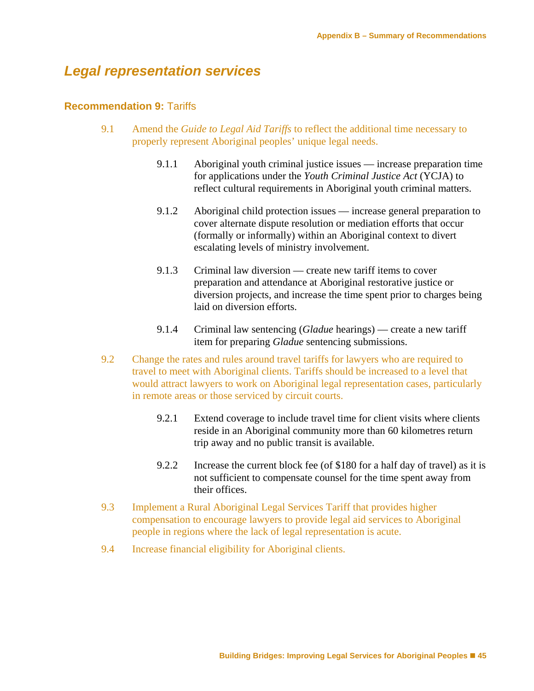### *Legal representation services*

#### **Recommendation 9:** Tariffs

- 9.1 Amend the *Guide to Legal Aid Tariffs* to reflect the additional time necessary to properly represent Aboriginal peoples' unique legal needs.
	- 9.1.1 Aboriginal youth criminal justice issues increase preparation time for applications under the *Youth Criminal Justice Act* (YCJA) to reflect cultural requirements in Aboriginal youth criminal matters.
	- 9.1.2 Aboriginal child protection issues increase general preparation to cover alternate dispute resolution or mediation efforts that occur (formally or informally) within an Aboriginal context to divert escalating levels of ministry involvement.
	- 9.1.3 Criminal law diversion create new tariff items to cover preparation and attendance at Aboriginal restorative justice or diversion projects, and increase the time spent prior to charges being laid on diversion efforts.
	- 9.1.4 Criminal law sentencing (*Gladue* hearings) create a new tariff item for preparing *Gladue* sentencing submissions.
- 9.2 Change the rates and rules around travel tariffs for lawyers who are required to travel to meet with Aboriginal clients. Tariffs should be increased to a level that would attract lawyers to work on Aboriginal legal representation cases, particularly in remote areas or those serviced by circuit courts.
	- 9.2.1 Extend coverage to include travel time for client visits where clients reside in an Aboriginal community more than 60 kilometres return trip away and no public transit is available.
	- 9.2.2 Increase the current block fee (of \$180 for a half day of travel) as it is not sufficient to compensate counsel for the time spent away from their offices.
- 9.3 Implement a Rural Aboriginal Legal Services Tariff that provides higher compensation to encourage lawyers to provide legal aid services to Aboriginal people in regions where the lack of legal representation is acute.
- 9.4 Increase financial eligibility for Aboriginal clients.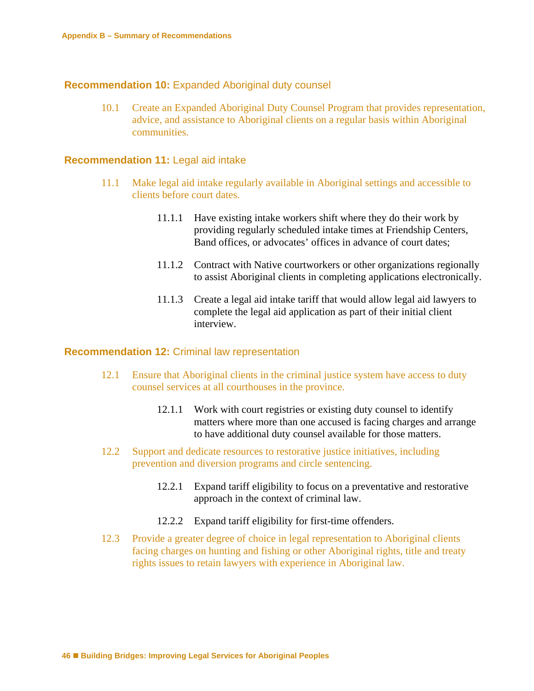#### **Recommendation 10: Expanded Aboriginal duty counsel**

10.1 Create an Expanded Aboriginal Duty Counsel Program that provides representation, advice, and assistance to Aboriginal clients on a regular basis within Aboriginal communities.

#### **Recommendation 11:** Legal aid intake

- 11.1 Make legal aid intake regularly available in Aboriginal settings and accessible to clients before court dates.
	- 11.1.1 Have existing intake workers shift where they do their work by providing regularly scheduled intake times at Friendship Centers, Band offices, or advocates' offices in advance of court dates;
	- 11.1.2 Contract with Native courtworkers or other organizations regionally to assist Aboriginal clients in completing applications electronically.
	- 11.1.3 Create a legal aid intake tariff that would allow legal aid lawyers to complete the legal aid application as part of their initial client interview.

#### **Recommendation 12:** Criminal law representation

- 12.1 Ensure that Aboriginal clients in the criminal justice system have access to duty counsel services at all courthouses in the province.
	- 12.1.1 Work with court registries or existing duty counsel to identify matters where more than one accused is facing charges and arrange to have additional duty counsel available for those matters.
- 12.2 Support and dedicate resources to restorative justice initiatives, including prevention and diversion programs and circle sentencing.
	- 12.2.1 Expand tariff eligibility to focus on a preventative and restorative approach in the context of criminal law.
	- 12.2.2 Expand tariff eligibility for first-time offenders.
- 12.3 Provide a greater degree of choice in legal representation to Aboriginal clients facing charges on hunting and fishing or other Aboriginal rights, title and treaty rights issues to retain lawyers with experience in Aboriginal law.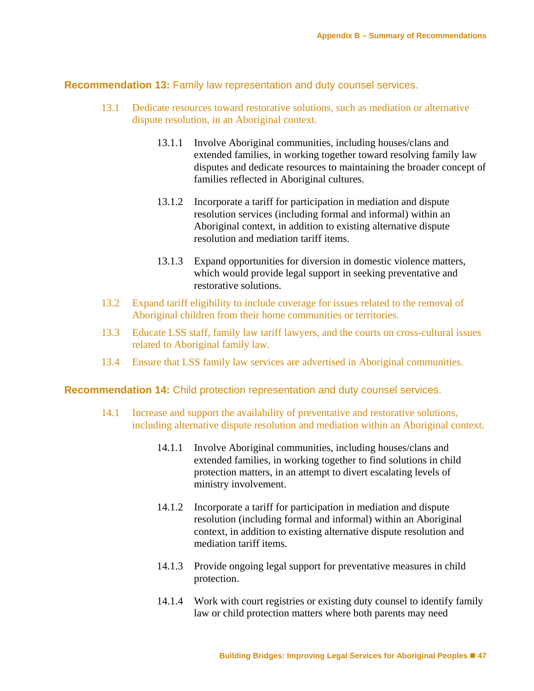**Recommendation 13:** Family law representation and duty counsel services.

- 13.1 Dedicate resources toward restorative solutions, such as mediation or alternative dispute resolution, in an Aboriginal context.
	- 13.1.1 Involve Aboriginal communities, including houses/clans and extended families, in working together toward resolving family law disputes and dedicate resources to maintaining the broader concept of families reflected in Aboriginal cultures.
	- 13.1.2 Incorporate a tariff for participation in mediation and dispute resolution services (including formal and informal) within an Aboriginal context, in addition to existing alternative dispute resolution and mediation tariff items.
	- 13.1.3 Expand opportunities for diversion in domestic violence matters, which would provide legal support in seeking preventative and restorative solutions.
- 13.2 Expand tariff eligibility to include coverage for issues related to the removal of Aboriginal children from their home communities or territories.
- 13.3 Educate LSS staff, family law tariff lawyers, and the courts on cross-cultural issues related to Aboriginal family law.
- 13.4 Ensure that LSS family law services are advertised in Aboriginal communities.

**Recommendation 14:** Child protection representation and duty counsel services.

- 14.1 Increase and support the availability of preventative and restorative solutions, including alternative dispute resolution and mediation within an Aboriginal context.
	- 14.1.1 Involve Aboriginal communities, including houses/clans and extended families, in working together to find solutions in child protection matters, in an attempt to divert escalating levels of ministry involvement.
	- 14.1.2 Incorporate a tariff for participation in mediation and dispute resolution (including formal and informal) within an Aboriginal context, in addition to existing alternative dispute resolution and mediation tariff items.
	- 14.1.3 Provide ongoing legal support for preventative measures in child protection.
	- 14.1.4 Work with court registries or existing duty counsel to identify family law or child protection matters where both parents may need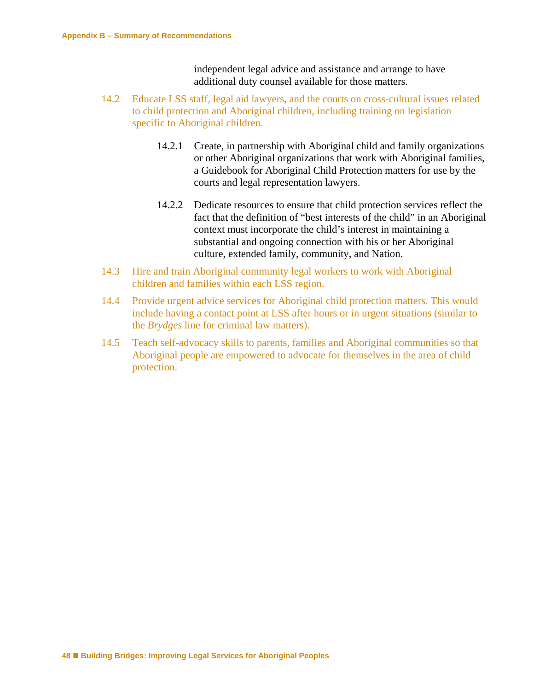independent legal advice and assistance and arrange to have additional duty counsel available for those matters.

- 14.2 Educate LSS staff, legal aid lawyers, and the courts on cross-cultural issues related to child protection and Aboriginal children, including training on legislation specific to Aboriginal children.
	- 14.2.1 Create, in partnership with Aboriginal child and family organizations or other Aboriginal organizations that work with Aboriginal families, a Guidebook for Aboriginal Child Protection matters for use by the courts and legal representation lawyers.
	- 14.2.2 Dedicate resources to ensure that child protection services reflect the fact that the definition of "best interests of the child" in an Aboriginal context must incorporate the child's interest in maintaining a substantial and ongoing connection with his or her Aboriginal culture, extended family, community, and Nation.
- 14.3 Hire and train Aboriginal community legal workers to work with Aboriginal children and families within each LSS region.
- 14.4 Provide urgent advice services for Aboriginal child protection matters. This would include having a contact point at LSS after hours or in urgent situations (similar to the *Brydges* line for criminal law matters).
- 14.5 Teach self-advocacy skills to parents, families and Aboriginal communities so that Aboriginal people are empowered to advocate for themselves in the area of child protection.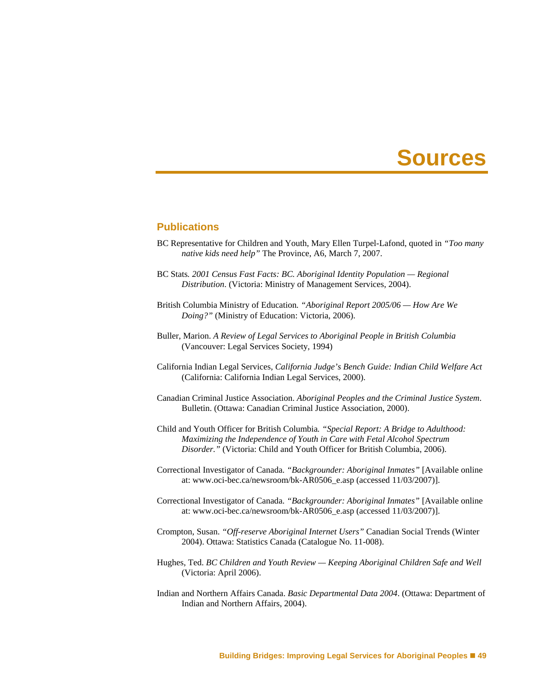# **Sources**

#### <span id="page-54-0"></span>**Publications**

- BC Representative for Children and Youth, Mary Ellen Turpel-Lafond, quoted in *"Too many native kids need help"* The Province, A6, March 7, 2007.
- BC Stats*. 2001 Census Fast Facts: BC. Aboriginal Identity Population Regional Distribution*. (Victoria: Ministry of Management Services, 2004).
- British Columbia Ministry of Education*. "Aboriginal Report 2005/06 How Are We Doing?"* (Ministry of Education: Victoria, 2006).
- Buller, Marion. *A Review of Legal Services to Aboriginal People in British Columbia* (Vancouver: Legal Services Society, 1994)
- California Indian Legal Services, *California Judge's Bench Guide: Indian Child Welfare Act* (California: California Indian Legal Services, 2000).
- Canadian Criminal Justice Association. *Aboriginal Peoples and the Criminal Justice System*. Bulletin. (Ottawa: Canadian Criminal Justice Association, 2000).
- Child and Youth Officer for British Columbia*. "Special Report: A Bridge to Adulthood: Maximizing the Independence of Youth in Care with Fetal Alcohol Spectrum Disorder."* (Victoria: Child and Youth Officer for British Columbia, 2006).
- Correctional Investigator of Canada. *"Backgrounder: Aboriginal Inmates"* [Available online at: www.oci-bec.ca/newsroom/bk-AR0506\_e.asp (accessed 11/03/2007)].
- Correctional Investigator of Canada. *"Backgrounder: Aboriginal Inmates"* [Available online at: www.oci-bec.ca/newsroom/bk-AR0506\_e.asp (accessed 11/03/2007)].
- Crompton, Susan. *"Off-reserve Aboriginal Internet Users"* Canadian Social Trends (Winter 2004). Ottawa: Statistics Canada (Catalogue No. 11-008).
- Hughes, Ted. *BC Children and Youth Review Keeping Aboriginal Children Safe and Well* (Victoria: April 2006).
- Indian and Northern Affairs Canada. *Basic Departmental Data 2004*. (Ottawa: Department of Indian and Northern Affairs, 2004).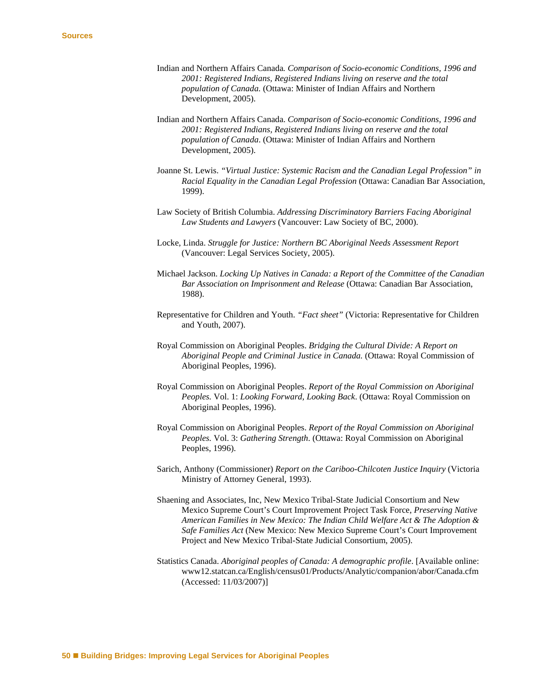- Indian and Northern Affairs Canada*. Comparison of Socio-economic Conditions, 1996 and 2001: Registered Indians, Registered Indians living on reserve and the total population of Canada.* (Ottawa: Minister of Indian Affairs and Northern Development, 2005).
- Indian and Northern Affairs Canada. *Comparison of Socio-economic Conditions, 1996 and 2001: Registered Indians, Registered Indians living on reserve and the total population of Canada*. (Ottawa: Minister of Indian Affairs and Northern Development, 2005).
- Joanne St. Lewis. *"Virtual Justice: Systemic Racism and the Canadian Legal Profession" in Racial Equality in the Canadian Legal Profession* (Ottawa: Canadian Bar Association, 1999).
- Law Society of British Columbia. *Addressing Discriminatory Barriers Facing Aboriginal Law Students and Lawyers* (Vancouver: Law Society of BC, 2000).
- Locke, Linda. *Struggle for Justice: Northern BC Aboriginal Needs Assessment Report* (Vancouver: Legal Services Society, 2005).
- Michael Jackson. *Locking Up Natives in Canada: a Report of the Committee of the Canadian Bar Association on Imprisonment and Release* (Ottawa: Canadian Bar Association, 1988).
- Representative for Children and Youth. *"Fact sheet"* (Victoria: Representative for Children and Youth, 2007).
- Royal Commission on Aboriginal Peoples. *Bridging the Cultural Divide: A Report on Aboriginal People and Criminal Justice in Canada.* (Ottawa: Royal Commission of Aboriginal Peoples, 1996).
- Royal Commission on Aboriginal Peoples. *Report of the Royal Commission on Aboriginal Peoples.* Vol. 1: *Looking Forward, Looking Back*. (Ottawa: Royal Commission on Aboriginal Peoples, 1996).
- Royal Commission on Aboriginal Peoples. *Report of the Royal Commission on Aboriginal Peoples.* Vol. 3: *Gathering Strength*. (Ottawa: Royal Commission on Aboriginal Peoples, 1996).
- Sarich, Anthony (Commissioner) *Report on the Cariboo-Chilcoten Justice Inquiry* (Victoria Ministry of Attorney General, 1993).
- Shaening and Associates, Inc, New Mexico Tribal-State Judicial Consortium and New Mexico Supreme Court's Court Improvement Project Task Force, *Preserving Native American Families in New Mexico: The Indian Child Welfare Act & The Adoption & Safe Families Act* (New Mexico: New Mexico Supreme Court's Court Improvement Project and New Mexico Tribal-State Judicial Consortium, 2005).
- Statistics Canada. *Aboriginal peoples of Canada: A demographic profile*. [Available online: www12.statcan.ca/English/census01/Products/Analytic/companion/abor/Canada.cfm (Accessed: 11/03/2007)]